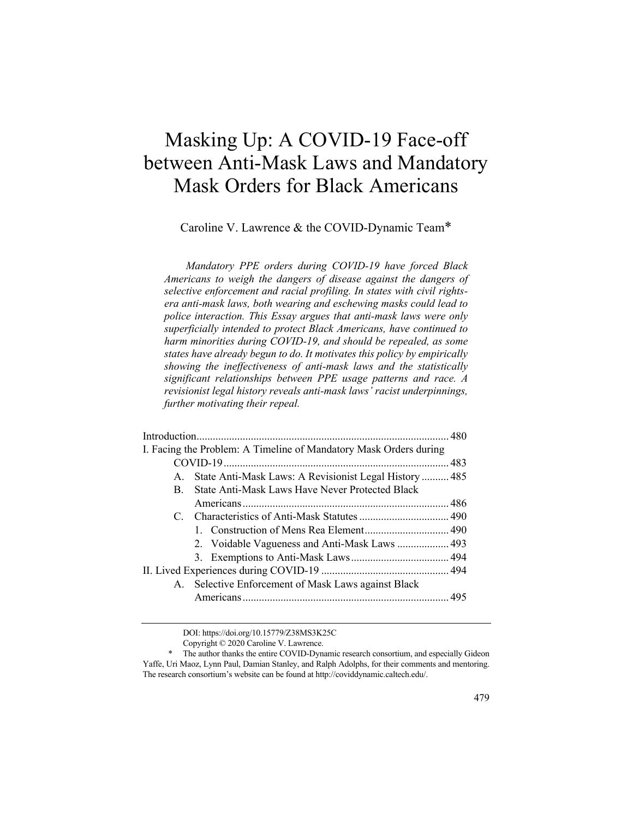# Masking Up: A COVID-19 Face-off between Anti-Mask Laws and Mandatory Mask Orders for Black Americans

Caroline V. Lawrence & the COVID-Dynamic Team\*

*Mandatory PPE orders during COVID-19 have forced Black Americans to weigh the dangers of disease against the dangers of selective enforcement and racial profiling. In states with civil rightsera anti-mask laws, both wearing and eschewing masks could lead to police interaction. This Essay argues that anti-mask laws were only superficially intended to protect Black Americans, have continued to harm minorities during COVID-19, and should be repealed, as some states have already begun to do. It motivates this policy by empirically showing the ineffectiveness of anti-mask laws and the statistically significant relationships between PPE usage patterns and race. A revisionist legal history reveals anti-mask laws' racist underpinnings, further motivating their repeal.*

|         | I. Facing the Problem: A Timeline of Mandatory Mask Orders during |  |
|---------|-------------------------------------------------------------------|--|
|         |                                                                   |  |
| $A_{1}$ | State Anti-Mask Laws: A Revisionist Legal History  485            |  |
| B.      | State Anti-Mask Laws Have Never Protected Black                   |  |
|         |                                                                   |  |
|         |                                                                   |  |
|         |                                                                   |  |
|         |                                                                   |  |
|         |                                                                   |  |
|         |                                                                   |  |
|         | A. Selective Enforcement of Mask Laws against Black               |  |
|         |                                                                   |  |
|         |                                                                   |  |

DOI: https://doi.org/10.15779/Z38MS3K25C

Copyright © 2020 Caroline V. Lawrence.

<sup>\*</sup> The author thanks the entire COVID-Dynamic research consortium, and especially Gideon Yaffe, Uri Maoz, Lynn Paul, Damian Stanley, and Ralph Adolphs, for their comments and mentoring. The research consortium's website can be found at http://coviddynamic.caltech.edu/.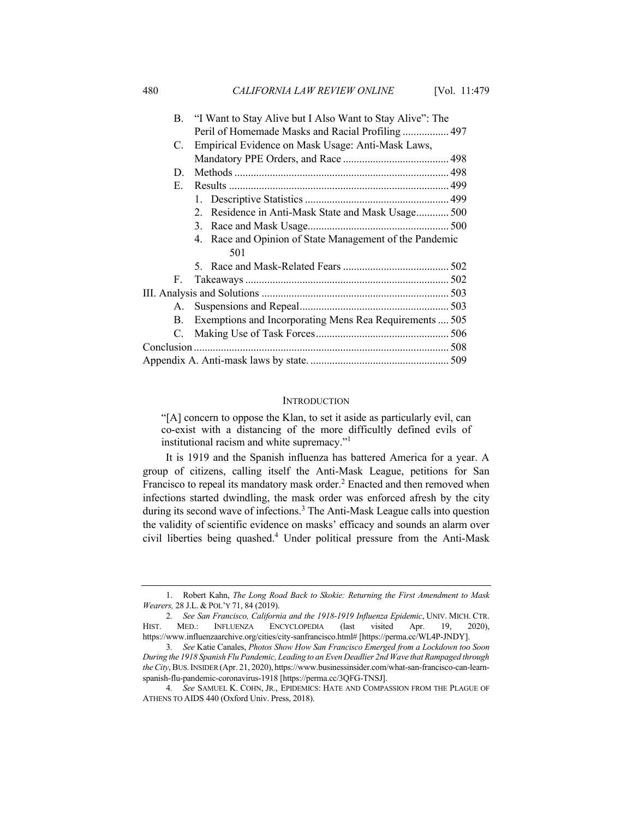|    | B. "I Want to Stay Alive but I Also Want to Stay Alive": The |  |  |  |
|----|--------------------------------------------------------------|--|--|--|
|    | Peril of Homemade Masks and Racial Profiling  497            |  |  |  |
| C. | Empirical Evidence on Mask Usage: Anti-Mask Laws,            |  |  |  |
|    |                                                              |  |  |  |
| D. |                                                              |  |  |  |
| Е. |                                                              |  |  |  |
|    |                                                              |  |  |  |
|    | Residence in Anti-Mask State and Mask Usage 500<br>2.        |  |  |  |
|    |                                                              |  |  |  |
|    | 4. Race and Opinion of State Management of the Pandemic      |  |  |  |
|    | 501                                                          |  |  |  |
|    |                                                              |  |  |  |
| F. |                                                              |  |  |  |
|    |                                                              |  |  |  |
|    |                                                              |  |  |  |
| B. | Exemptions and Incorporating Mens Rea Requirements  505      |  |  |  |
| C. |                                                              |  |  |  |
|    |                                                              |  |  |  |
|    |                                                              |  |  |  |
|    |                                                              |  |  |  |

#### **INTRODUCTION**

"[A] concern to oppose the Klan, to set it aside as particularly evil, can co-exist with a distancing of the more difficultly defined evils of institutional racism and white supremacy."<sup>1</sup>

It is 1919 and the Spanish influenza has battered America for a year. A group of citizens, calling itself the Anti-Mask League, petitions for San Francisco to repeal its mandatory mask order.<sup>2</sup> Enacted and then removed when infections started dwindling, the mask order was enforced afresh by the city during its second wave of infections.<sup>3</sup> The Anti-Mask League calls into question the validity of scientific evidence on masks' efficacy and sounds an alarm over civil liberties being quashed.4 Under political pressure from the Anti-Mask

<sup>1.</sup> Robert Kahn, *The Long Road Back to Skokie: Returning the First Amendment to Mask Wearers,* 28 J.L. & POL'Y 71, 84 (2019).

<sup>2</sup>*. See San Francisco, California and the 1918-1919 Influenza Epidemic*, UNIV. MICH. CTR. HIST. MED.: INFLUENZA ENCYCLOPEDIA (last visited Apr. 19, 2020), https://www.influenzaarchive.org/cities/city-sanfrancisco.html# [https://perma.cc/WL4P-JNDY].

<sup>3</sup>*. See* Katie Canales, *Photos Show How San Francisco Emerged from a Lockdown too Soon During the 1918 Spanish Flu Pandemic, Leading to an Even Deadlier 2nd Wave that Rampaged through the City*, BUS.INSIDER (Apr. 21, 2020), https://www.businessinsider.com/what-san-francisco-can-learnspanish-flu-pandemic-coronavirus-1918 [https://perma.cc/3QFG-TNSJ].

<sup>4</sup>*. See* SAMUEL K. COHN, JR., EPIDEMICS: HATE AND COMPASSION FROM THE PLAGUE OF ATHENS TO AIDS 440 (Oxford Univ. Press, 2018).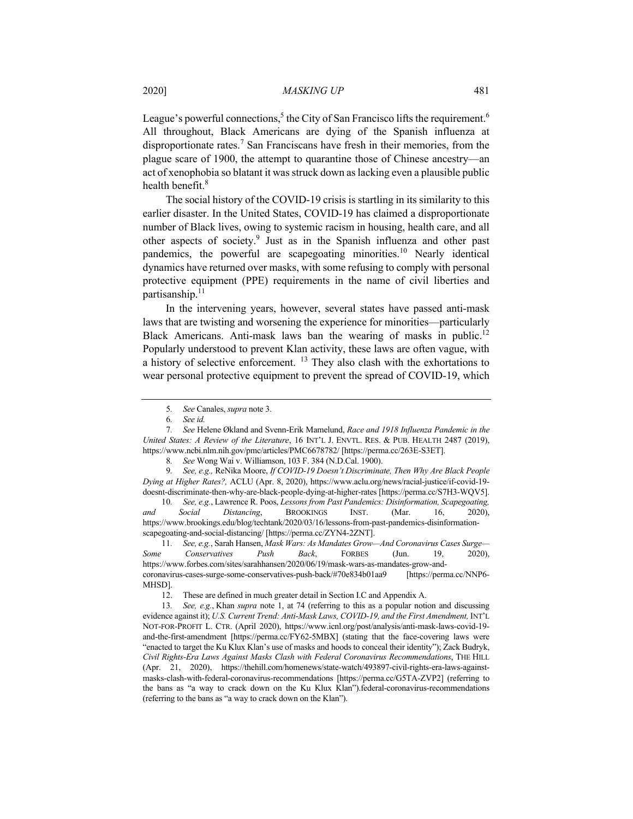League's powerful connections,<sup>5</sup> the City of San Francisco lifts the requirement.<sup>6</sup> All throughout, Black Americans are dying of the Spanish influenza at disproportionate rates.<sup>7</sup> San Franciscans have fresh in their memories, from the plague scare of 1900, the attempt to quarantine those of Chinese ancestry—an act of xenophobia so blatant it was struck down as lacking even a plausible public health benefit.<sup>8</sup>

The social history of the COVID-19 crisis is startling in its similarity to this earlier disaster. In the United States, COVID-19 has claimed a disproportionate number of Black lives, owing to systemic racism in housing, health care, and all other aspects of society.9 Just as in the Spanish influenza and other past pandemics, the powerful are scapegoating minorities.<sup>10</sup> Nearly identical dynamics have returned over masks, with some refusing to comply with personal protective equipment (PPE) requirements in the name of civil liberties and partisanship.<sup>11</sup>

In the intervening years, however, several states have passed anti-mask laws that are twisting and worsening the experience for minorities—particularly Black Americans. Anti-mask laws ban the wearing of masks in public.<sup>12</sup> Popularly understood to prevent Klan activity, these laws are often vague, with a history of selective enforcement. <sup>13</sup> They also clash with the exhortations to wear personal protective equipment to prevent the spread of COVID-19, which

9*. See, e.g.,* ReNika Moore, *If COVID-19 Doesn't Discriminate, Then Why Are Black People Dying at Higher Rates?,* ACLU (Apr. 8, 2020), https://www.aclu.org/news/racial-justice/if-covid-19 doesnt-discriminate-then-why-are-black-people-dying-at-higher-rates [https://perma.cc/S7H3-WQV5].

10*. See, e.g.*, Lawrence R. Poos, *Lessons from Past Pandemics: Disinformation, Scapegoating, and Social Distancing*, BROOKINGS INST. (Mar. 16, 2020), https://www.brookings.edu/blog/techtank/2020/03/16/lessons-from-past-pandemics-disinformationscapegoating-and-social-distancing/ [https://perma.cc/ZYN4-2ZNT].

11*. See, e.g.*, Sarah Hansen, *Mask Wars: As Mandates Grow—And Coronavirus Cases Surge— Some Conservatives Push Back*, FORBES (Jun. 19, 2020), https://www.forbes.com/sites/sarahhansen/2020/06/19/mask-wars-as-mandates-grow-andcoronavirus-cases-surge-some-conservatives-push-back/#70e834b01aa9 [https://perma.cc/NNP6- MHSD].

<sup>5</sup>*. See* Canales, *supra* note 3.

<sup>6</sup>*. See id.*

<sup>7</sup>*. See* Helene Økland and Svenn-Erik Mamelund, *Race and 1918 Influenza Pandemic in the United States: A Review of the Literature*, 16 INT'L J. ENVTL. RES. & PUB. HEALTH 2487 (2019), https://www.ncbi.nlm.nih.gov/pmc/articles/PMC6678782/ [https://perma.cc/263E-S3ET].

<sup>8</sup>*. See* Wong Wai v. Williamson, 103 F. 384 (N.D.Cal. 1900).

<sup>12.</sup> These are defined in much greater detail in Section I.C and Appendix A.

<sup>13</sup>*. See, e.g.*, Khan *supra* note 1, at 74 (referring to this as a popular notion and discussing evidence against it); *U.S. Current Trend: Anti-Mask Laws, COVID-19, and the First Amendment,* INT'L NOT-FOR-PROFIT L. CTR. (April 2020), https://www.icnl.org/post/analysis/anti-mask-laws-covid-19 and-the-first-amendment [https://perma.cc/FY62-5MBX] (stating that the face-covering laws were "enacted to target the Ku Klux Klan's use of masks and hoods to conceal their identity"); Zack Budryk, *Civil Rights-Era Laws Against Masks Clash with Federal Coronavirus Recommendations*, THE HILL (Apr. 21, 2020), https://thehill.com/homenews/state-watch/493897-civil-rights-era-laws-againstmasks-clash-with-federal-coronavirus-recommendations [https://perma.cc/G5TA-ZVP2] (referring to the bans as "a way to crack down on the Ku Klux Klan").federal-coronavirus-recommendations (referring to the bans as "a way to crack down on the Klan").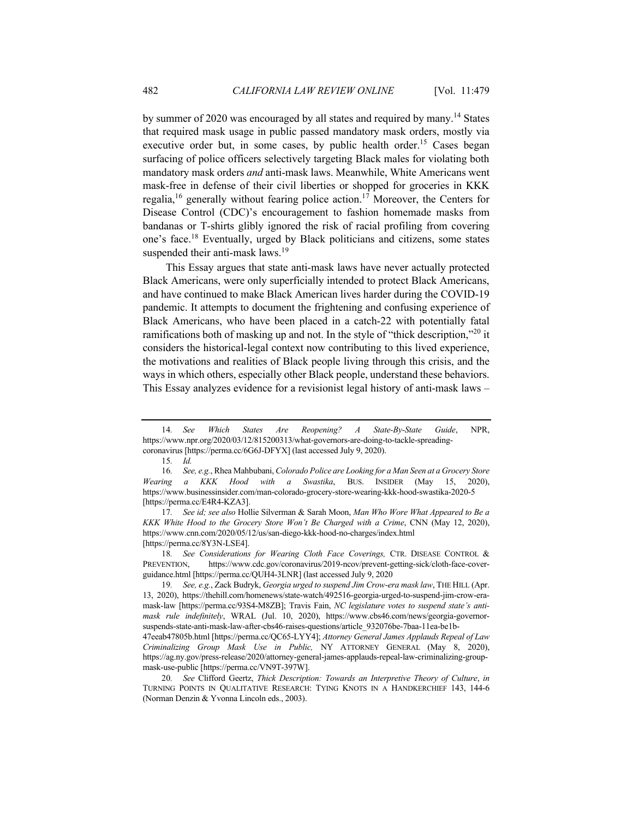by summer of 2020 was encouraged by all states and required by many.<sup>14</sup> States that required mask usage in public passed mandatory mask orders, mostly via executive order but, in some cases, by public health order.<sup>15</sup> Cases began surfacing of police officers selectively targeting Black males for violating both mandatory mask orders *and* anti-mask laws. Meanwhile, White Americans went mask-free in defense of their civil liberties or shopped for groceries in KKK regalia,<sup>16</sup> generally without fearing police action.<sup>17</sup> Moreover, the Centers for Disease Control (CDC)'s encouragement to fashion homemade masks from bandanas or T-shirts glibly ignored the risk of racial profiling from covering one's face.18 Eventually, urged by Black politicians and citizens, some states suspended their anti-mask laws.<sup>19</sup>

This Essay argues that state anti-mask laws have never actually protected Black Americans, were only superficially intended to protect Black Americans, and have continued to make Black American lives harder during the COVID-19 pandemic. It attempts to document the frightening and confusing experience of Black Americans, who have been placed in a catch-22 with potentially fatal ramifications both of masking up and not. In the style of "thick description,"<sup>20</sup> it considers the historical-legal context now contributing to this lived experience, the motivations and realities of Black people living through this crisis, and the ways in which others, especially other Black people, understand these behaviors. This Essay analyzes evidence for a revisionist legal history of anti-mask laws –

<sup>14</sup>*. See Which States Are Reopening? A State-By-State Guide*, NPR, https://www.npr.org/2020/03/12/815200313/what-governors-are-doing-to-tackle-spreadingcoronavirus [https://perma.cc/6G6J-DFYX] (last accessed July 9, 2020).

<sup>15</sup>*. Id.*

<sup>16</sup>*. See, e.g.*, Rhea Mahbubani, *Colorado Police are Looking for a Man Seen at a Grocery Store Wearing a KKK Hood with a Swastika*, BUS. INSIDER (May 15, 2020), https://www.businessinsider.com/man-colorado-grocery-store-wearing-kkk-hood-swastika-2020-5 [https://perma.cc/E4R4-KZA3].

<sup>17</sup>*. See id; see also* Hollie Silverman & Sarah Moon, *Man Who Wore What Appeared to Be a KKK White Hood to the Grocery Store Won't Be Charged with a Crime*, CNN (May 12, 2020), https://www.cnn.com/2020/05/12/us/san-diego-kkk-hood-no-charges/index.html [https://perma.cc/8Y3N-LSE4].

<sup>18</sup>*. See Considerations for Wearing Cloth Face Coverings,* CTR. DISEASE CONTROL & PREVENTION, https://www.cdc.gov/coronavirus/2019-ncov/prevent-getting-sick/cloth-face-coverguidance.html [https://perma.cc/QUH4-3LNR] (last accessed July 9, 2020

<sup>19</sup>*. See, e.g.*, Zack Budryk, *Georgia urged to suspend Jim Crow-era mask law*, THE HILL (Apr. 13, 2020), https://thehill.com/homenews/state-watch/492516-georgia-urged-to-suspend-jim-crow-eramask-law [https://perma.cc/93S4-M8ZB]; Travis Fain, *NC legislature votes to suspend state's antimask rule indefinitely*, WRAL (Jul. 10, 2020), https://www.cbs46.com/news/georgia-governorsuspends-state-anti-mask-law-after-cbs46-raises-questions/article\_932076be-7baa-11ea-be1b-

<sup>47</sup>eeab47805b.html [https://perma.cc/QC65-LYY4]; *Attorney General James Applauds Repeal of Law Criminalizing Group Mask Use in Public,* NY ATTORNEY GENERAL (May 8, 2020), https://ag.ny.gov/press-release/2020/attorney-general-james-applauds-repeal-law-criminalizing-groupmask-use-public [https://perma.cc/VN9T-397W].

<sup>20</sup>*. See* Clifford Geertz, *Thick Description: Towards an Interpretive Theory of Culture*, *in*  TURNING POINTS IN QUALITATIVE RESEARCH: TYING KNOTS IN A HANDKERCHIEF 143, 144-6 (Norman Denzin & Yvonna Lincoln eds., 2003).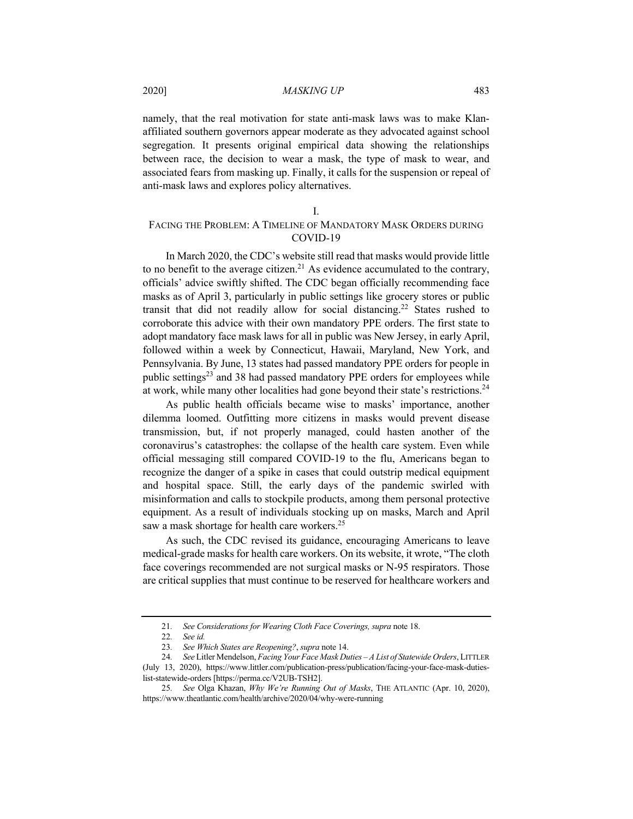namely, that the real motivation for state anti-mask laws was to make Klanaffiliated southern governors appear moderate as they advocated against school segregation. It presents original empirical data showing the relationships between race, the decision to wear a mask, the type of mask to wear, and associated fears from masking up. Finally, it calls for the suspension or repeal of anti-mask laws and explores policy alternatives.

# I.

# FACING THE PROBLEM: A TIMELINE OF MANDATORY MASK ORDERS DURING COVID-19

In March 2020, the CDC's website still read that masks would provide little to no benefit to the average citizen.<sup>21</sup> As evidence accumulated to the contrary, officials' advice swiftly shifted. The CDC began officially recommending face masks as of April 3, particularly in public settings like grocery stores or public transit that did not readily allow for social distancing.<sup>22</sup> States rushed to corroborate this advice with their own mandatory PPE orders. The first state to adopt mandatory face mask laws for all in public was New Jersey, in early April, followed within a week by Connecticut, Hawaii, Maryland, New York, and Pennsylvania. By June, 13 states had passed mandatory PPE orders for people in public settings<sup>23</sup> and 38 had passed mandatory PPE orders for employees while at work, while many other localities had gone beyond their state's restrictions.<sup>24</sup>

As public health officials became wise to masks' importance, another dilemma loomed. Outfitting more citizens in masks would prevent disease transmission, but, if not properly managed, could hasten another of the coronavirus's catastrophes: the collapse of the health care system. Even while official messaging still compared COVID-19 to the flu, Americans began to recognize the danger of a spike in cases that could outstrip medical equipment and hospital space. Still, the early days of the pandemic swirled with misinformation and calls to stockpile products, among them personal protective equipment. As a result of individuals stocking up on masks, March and April saw a mask shortage for health care workers.<sup>25</sup>

As such, the CDC revised its guidance, encouraging Americans to leave medical-grade masks for health care workers. On its website, it wrote, "The cloth face coverings recommended are not surgical masks or N-95 respirators. Those are critical supplies that must continue to be reserved for healthcare workers and

<sup>21</sup>*. See Considerations for Wearing Cloth Face Coverings, supra* note 18.

<sup>22</sup>*. See id.*

<sup>23</sup>*. See Which States are Reopening?*, *supra* note 14.

<sup>24</sup>*. See* Litler Mendelson, *Facing Your Face Mask Duties – A List of Statewide Orders*, LITTLER (July 13, 2020), https://www.littler.com/publication-press/publication/facing-your-face-mask-dutieslist-statewide-orders [https://perma.cc/V2UB-TSH2].

<sup>25</sup>*. See* Olga Khazan, *Why We're Running Out of Masks*, THE ATLANTIC (Apr. 10, 2020), https://www.theatlantic.com/health/archive/2020/04/why-were-running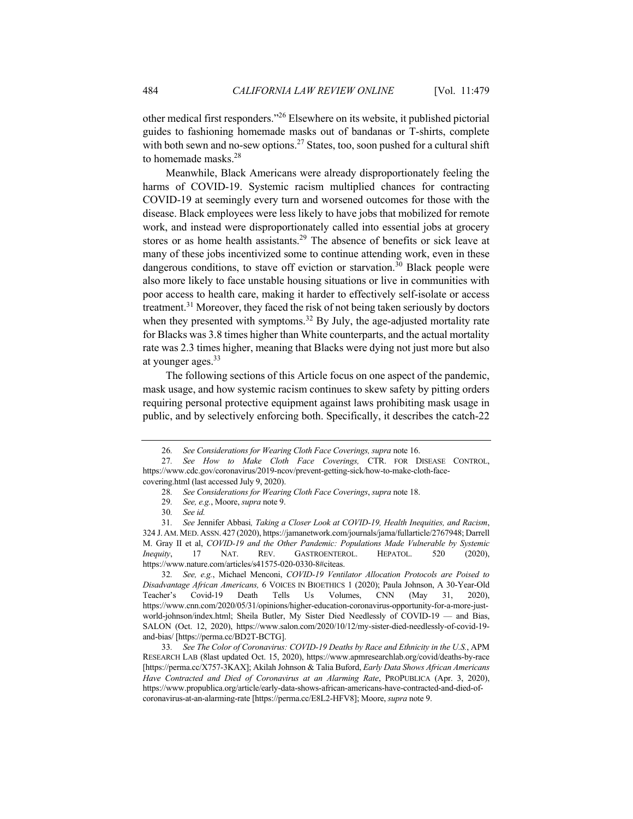other medical first responders."<sup>26</sup> Elsewhere on its website, it published pictorial guides to fashioning homemade masks out of bandanas or T-shirts, complete with both sewn and no-sew options.<sup>27</sup> States, too, soon pushed for a cultural shift to homemade masks.28

Meanwhile, Black Americans were already disproportionately feeling the harms of COVID-19. Systemic racism multiplied chances for contracting COVID-19 at seemingly every turn and worsened outcomes for those with the disease. Black employees were less likely to have jobs that mobilized for remote work, and instead were disproportionately called into essential jobs at grocery stores or as home health assistants.29 The absence of benefits or sick leave at many of these jobs incentivized some to continue attending work, even in these dangerous conditions, to stave off eviction or starvation.<sup>30</sup> Black people were also more likely to face unstable housing situations or live in communities with poor access to health care, making it harder to effectively self-isolate or access treatment.<sup>31</sup> Moreover, they faced the risk of not being taken seriously by doctors when they presented with symptoms.<sup>32</sup> By July, the age-adjusted mortality rate for Blacks was 3.8 times higher than White counterparts, and the actual mortality rate was 2.3 times higher, meaning that Blacks were dying not just more but also at younger ages.<sup>33</sup>

The following sections of this Article focus on one aspect of the pandemic, mask usage, and how systemic racism continues to skew safety by pitting orders requiring personal protective equipment against laws prohibiting mask usage in public, and by selectively enforcing both. Specifically, it describes the catch-22

32*. See, e.g.*, Michael Menconi, *COVID-19 Ventilator Allocation Protocols are Poised to Disadvantage African Americans,* 6 VOICES IN BIOETHICS 1 (2020); Paula Johnson, A 30-Year-Old Teacher's Covid-19 Death Tells Us Volumes, CNN (May 31, 2020), https://www.cnn.com/2020/05/31/opinions/higher-education-coronavirus-opportunity-for-a-more-justworld-johnson/index.html; Sheila Butler, My Sister Died Needlessly of COVID-19 — and Bias, SALON (Oct. 12, 2020), https://www.salon.com/2020/10/12/my-sister-died-needlessly-of-covid-19 and-bias/ [https://perma.cc/BD2T-BCTG].

33*. See The Color of Coronavirus: COVID-19 Deaths by Race and Ethnicity in the U.S.*, APM RESEARCH LAB (8last updated Oct. 15, 2020), https://www.apmresearchlab.org/covid/deaths-by-race [https://perma.cc/X757-3KAX]; Akilah Johnson & Talia Buford, *Early Data Shows African Americans Have Contracted and Died of Coronavirus at an Alarming Rate*, PROPUBLICA (Apr. 3, 2020), https://www.propublica.org/article/early-data-shows-african-americans-have-contracted-and-died-ofcoronavirus-at-an-alarming-rate [https://perma.cc/E8L2-HFV8]; Moore, *supra* note 9.

<sup>26</sup>*. See Considerations for Wearing Cloth Face Coverings, supra* note 16.

<sup>27</sup>*. See How to Make Cloth Face Coverings,* CTR. FOR DISEASE CONTROL, https://www.cdc.gov/coronavirus/2019-ncov/prevent-getting-sick/how-to-make-cloth-facecovering.html (last accessed July 9, 2020).

<sup>28</sup>*. See Considerations for Wearing Cloth Face Coverings*, *supra* note 18.

<sup>29</sup>*. See, e.g.*, Moore, *supra* note 9.

<sup>30</sup>*. See id.*

<sup>31</sup>*. See* Jennifer Abbasi*, Taking a Closer Look at COVID-19, Health Inequities, and Racism*, 324 J. AM.MED. ASSN. 427 (2020), https://jamanetwork.com/journals/jama/fullarticle/2767948; Darrell M. Gray II et al, *COVID-19 and the Other Pandemic: Populations Made Vulnerable by Systemic Inequity*, 17 NAT. REV. GASTROENTEROL. HEPATOL. 520 (2020), https://www.nature.com/articles/s41575-020-0330-8#citeas.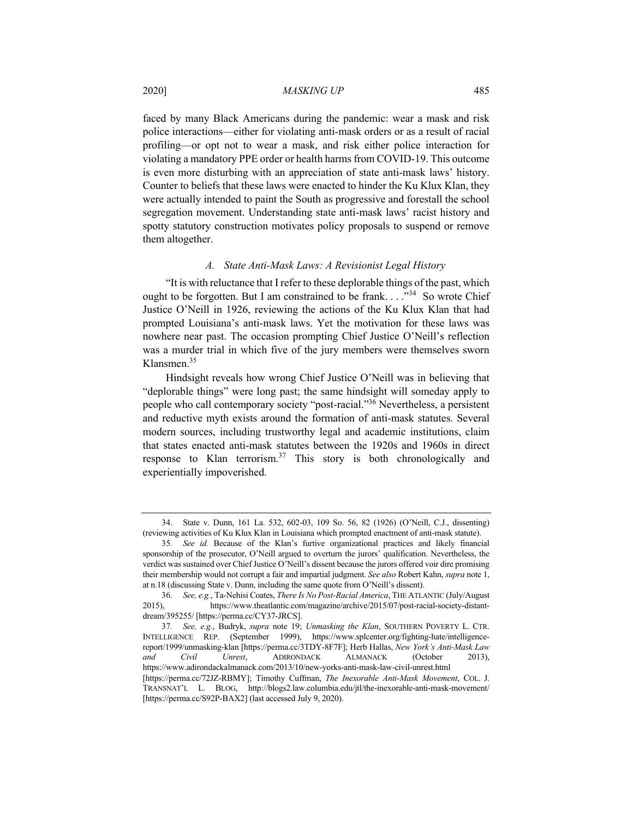faced by many Black Americans during the pandemic: wear a mask and risk police interactions—either for violating anti-mask orders or as a result of racial profiling—or opt not to wear a mask, and risk either police interaction for violating a mandatory PPE order or health harms from COVID-19. This outcome is even more disturbing with an appreciation of state anti-mask laws' history. Counter to beliefs that these laws were enacted to hinder the Ku Klux Klan, they were actually intended to paint the South as progressive and forestall the school segregation movement. Understanding state anti-mask laws' racist history and spotty statutory construction motivates policy proposals to suspend or remove them altogether.

#### *A. State Anti-Mask Laws: A Revisionist Legal History*

"It is with reluctance that I refer to these deplorable things of the past, which ought to be forgotten. But I am constrained to be frank. . . . "<sup>34</sup> So wrote Chief Justice O'Neill in 1926, reviewing the actions of the Ku Klux Klan that had prompted Louisiana's anti-mask laws. Yet the motivation for these laws was nowhere near past. The occasion prompting Chief Justice O'Neill's reflection was a murder trial in which five of the jury members were themselves sworn Klansmen.35

Hindsight reveals how wrong Chief Justice O'Neill was in believing that "deplorable things" were long past; the same hindsight will someday apply to people who call contemporary society "post-racial."36 Nevertheless, a persistent and reductive myth exists around the formation of anti-mask statutes. Several modern sources, including trustworthy legal and academic institutions, claim that states enacted anti-mask statutes between the 1920s and 1960s in direct response to Klan terrorism. $37$  This story is both chronologically and experientially impoverished.

<sup>34.</sup> State v. Dunn, 161 La. 532, 602-03, 109 So. 56, 82 (1926) (O'Neill, C.J., dissenting) (reviewing activities of Ku Klux Klan in Louisiana which prompted enactment of anti-mask statute).

<sup>35</sup>*. See id.* Because of the Klan's furtive organizational practices and likely financial sponsorship of the prosecutor, O'Neill argued to overturn the jurors' qualification. Nevertheless, the verdict was sustained over Chief Justice O'Neill's dissent because the jurors offered voir dire promising their membership would not corrupt a fair and impartial judgment. *See also* Robert Kahn, *supra* note 1, at n.18 (discussing State v. Dunn, including the same quote from O'Neill's dissent).

<sup>36</sup>*. See, e.g.*, Ta-Nehisi Coates, *There Is No Post-Racial America*, THE ATLANTIC (July/August 2015), https://www.theatlantic.com/magazine/archive/2015/07/post-racial-society-distantdream/395255/ [https://perma.cc/CY37-JRCS].

<sup>37</sup>*. See, e.g.*, Budryk, *supra* note 19; *Unmasking the Klan*, SOUTHERN POVERTY L. CTR. INTELLIGENCE REP. (September 1999), https://www.splcenter.org/fighting-hate/intelligencereport/1999/unmasking-klan [https://perma.cc/3TDY-8F7F]; Herb Hallas, *New York's Anti-Mask Law and Civil Unrest*, ADIRONDACK ALMANACK (October 2013), https://www.adirondackalmanack.com/2013/10/new-yorks-anti-mask-law-civil-unrest.html

<sup>[</sup>https://perma.cc/72JZ-RBMY]; Timothy Cuffman, *The Inexorable Anti-Mask Movement*, COL. J. TRANSNAT'L L. BLOG, http://blogs2.law.columbia.edu/jtl/the-inexorable-anti-mask-movement/ [https://perma.cc/S92P-BAX2] (last accessed July 9, 2020).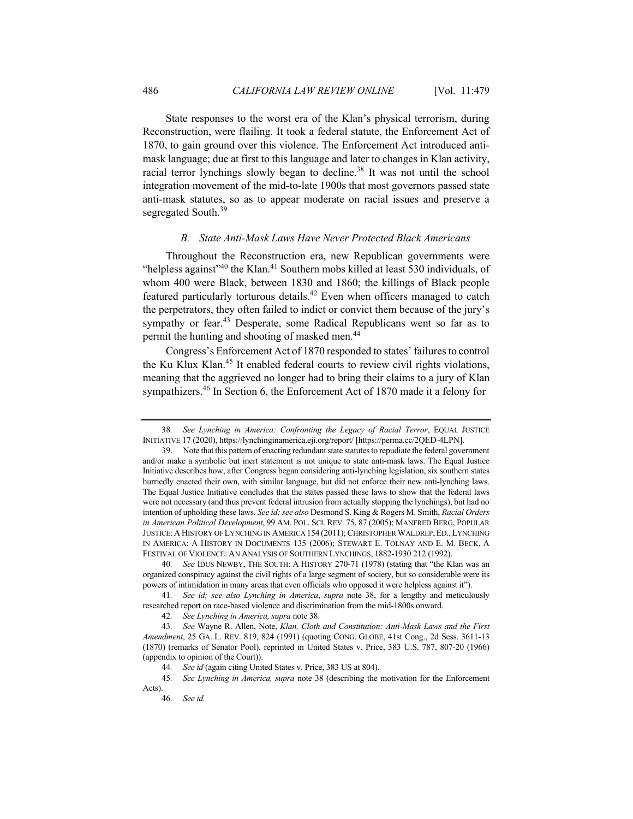State responses to the worst era of the Klan's physical terrorism, during Reconstruction, were flailing. It took a federal statute, the Enforcement Act of 1870, to gain ground over this violence. The Enforcement Act introduced antimask language; due at first to this language and later to changes in Klan activity, racial terror lynchings slowly began to decline.<sup>38</sup> It was not until the school integration movement of the mid-to-late 1900s that most governors passed state anti-mask statutes, so as to appear moderate on racial issues and preserve a segregated South.<sup>39</sup>

# *B. State Anti-Mask Laws Have Never Protected Black Americans*

Throughout the Reconstruction era, new Republican governments were "helpless against"<sup>40</sup> the Klan.<sup>41</sup> Southern mobs killed at least 530 individuals, of whom 400 were Black, between 1830 and 1860; the killings of Black people featured particularly torturous details.<sup>42</sup> Even when officers managed to catch the perpetrators, they often failed to indict or convict them because of the jury's sympathy or fear.<sup>43</sup> Desperate, some Radical Republicans went so far as to permit the hunting and shooting of masked men.<sup>44</sup>

Congress's Enforcement Act of 1870 responded to states' failures to control the Ku Klux Klan.<sup>45</sup> It enabled federal courts to review civil rights violations, meaning that the aggrieved no longer had to bring their claims to a jury of Klan sympathizers.<sup>46</sup> In Section 6, the Enforcement Act of 1870 made it a felony for

<sup>38</sup>*. See Lynching in America: Confronting the Legacy of Racial Terror*, EQUAL JUSTICE INITIATIVE 17 (2020), https://lynchinginamerica.eji.org/report/ [https://perma.cc/2QED-4LPN].

<sup>39.</sup> Note that this pattern of enacting redundant state statutes to repudiate the federal government and/or make a symbolic but inert statement is not unique to state anti-mask laws. The Equal Justice Initiative describes how, after Congress began considering anti-lynching legislation, six southern states hurriedly enacted their own, with similar language, but did not enforce their new anti-lynching laws. The Equal Justice Initiative concludes that the states passed these laws to show that the federal laws were not necessary (and thus prevent federal intrusion from actually stopping the lynchings), but had no intention of upholding these laws. *See id; see also* Desmond S. King & Rogers M. Smith, *Racial Orders in American Political Development*, 99 AM. POL. SCI. REV. 75, 87 (2005); MANFRED BERG, POPULAR JUSTICE:A HISTORY OF LYNCHING IN AMERICA 154 (2011); CHRISTOPHER WALDREP,ED.,LYNCHING IN AMERICA: A HISTORY IN DOCUMENTS 135 (2006); STEWART E. TOLNAY AND E. M. BECK, A FESTIVAL OF VIOLENCE: AN ANALYSIS OF SOUTHERN LYNCHINGS, 1882-1930 212 (1992).

<sup>40</sup>*. See* IDUS NEWBY, THE SOUTH: A HISTORY 270-71 (1978) (stating that "the Klan was an organized conspiracy against the civil rights of a large segment of society, but so considerable were its powers of intimidation in many areas that even officials who opposed it were helpless against it").

<sup>41</sup>*. See id; see also Lynching in America*, *supra* note 38, for a lengthy and meticulously researched report on race-based violence and discrimination from the mid-1800s onward.

<sup>42</sup>*. See Lynching in America, supra* note 38.

<sup>43</sup>*. See* Wayne R. Allen, Note, *Klan, Cloth and Constitution: Anti-Mask Laws and the First Amendment*, 25 GA. L. REV. 819, 824 (1991) (quoting CONG. GLOBE, 41st Cong., 2d Sess. 3611-13 (1870) (remarks of Senator Pool), reprinted in United States v. Price, 383 U.S. 787, 807-20 (1966) (appendix to opinion of the Court)).

<sup>44</sup>*. See id* (again citing United States v. Price, 383 US at 804).

<sup>45</sup>*. See Lynching in America, supra* note 38 (describing the motivation for the Enforcement Acts).

<sup>46</sup>*. See id.*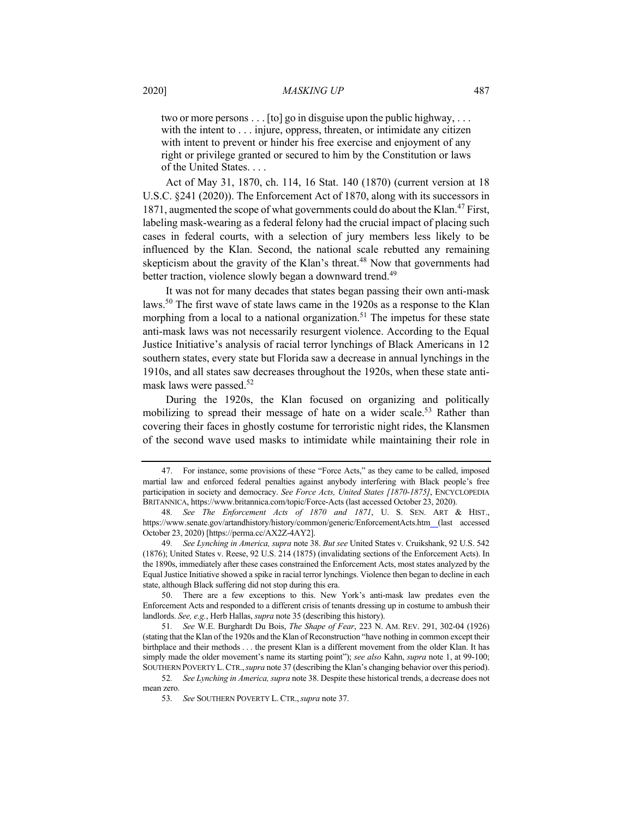two or more persons . . . [to] go in disguise upon the public highway, . . . with the intent to . . . injure, oppress, threaten, or intimidate any citizen with intent to prevent or hinder his free exercise and enjoyment of any right or privilege granted or secured to him by the Constitution or laws of the United States. . . .

Act of May 31, 1870, ch. 114, 16 Stat. 140 (1870) (current version at 18 U.S.C. §241 (2020)). The Enforcement Act of 1870, along with its successors in 1871, augmented the scope of what governments could do about the Klan.<sup>47</sup> First, labeling mask-wearing as a federal felony had the crucial impact of placing such cases in federal courts, with a selection of jury members less likely to be influenced by the Klan. Second, the national scale rebutted any remaining skepticism about the gravity of the Klan's threat.<sup>48</sup> Now that governments had better traction, violence slowly began a downward trend.<sup>49</sup>

It was not for many decades that states began passing their own anti-mask laws.<sup>50</sup> The first wave of state laws came in the 1920s as a response to the Klan morphing from a local to a national organization.<sup>51</sup> The impetus for these state anti-mask laws was not necessarily resurgent violence. According to the Equal Justice Initiative's analysis of racial terror lynchings of Black Americans in 12 southern states, every state but Florida saw a decrease in annual lynchings in the 1910s, and all states saw decreases throughout the 1920s, when these state antimask laws were passed.<sup>52</sup>

During the 1920s, the Klan focused on organizing and politically mobilizing to spread their message of hate on a wider scale.<sup>53</sup> Rather than covering their faces in ghostly costume for terroristic night rides, the Klansmen of the second wave used masks to intimidate while maintaining their role in

<sup>47.</sup> For instance, some provisions of these "Force Acts," as they came to be called, imposed martial law and enforced federal penalties against anybody interfering with Black people's free participation in society and democracy. *See Force Acts, United States [1870-1875]*, ENCYCLOPEDIA BRITANNICA, https://www.britannica.com/topic/Force-Acts (last accessed October 23, 2020).

<sup>48</sup>*. See The Enforcement Acts of 1870 and 1871*, U. S. SEN. ART & HIST., https://www.senate.gov/artandhistory/history/common/generic/EnforcementActs.htm (last accessed October 23, 2020) [https://perma.cc/AX2Z-4AY2].

<sup>49</sup>*. See Lynching in America, supra* note 38. *But see* United States v. Cruikshank, 92 U.S. 542 (1876); United States v. Reese, 92 U.S. 214 (1875) (invalidating sections of the Enforcement Acts). In the 1890s, immediately after these cases constrained the Enforcement Acts, most states analyzed by the Equal Justice Initiative showed a spike in racial terror lynchings. Violence then began to decline in each state, although Black suffering did not stop during this era.

<sup>50.</sup> There are a few exceptions to this. New York's anti-mask law predates even the Enforcement Acts and responded to a different crisis of tenants dressing up in costume to ambush their landlords. *See, e.g.*, Herb Hallas, *supra* note 35 (describing this history).

<sup>51</sup>*. See* W.E. Burghardt Du Bois, *The Shape of Fear*, 223 N. AM. REV. 291, 302-04 (1926) (stating that the Klan of the 1920s and the Klan of Reconstruction "have nothing in common except their birthplace and their methods . . . the present Klan is a different movement from the older Klan. It has simply made the older movement's name its starting point"); *see also* Kahn, *supra* note 1, at 99-100; SOUTHERN POVERTY L.CTR.,*supra* note 37 (describing the Klan's changing behavior over this period).

<sup>52</sup>*. See Lynching in America, supra* note 38. Despite these historical trends, a decrease does not mean zero.

<sup>53</sup>*. See* SOUTHERN POVERTY L. CTR.,*supra* note 37.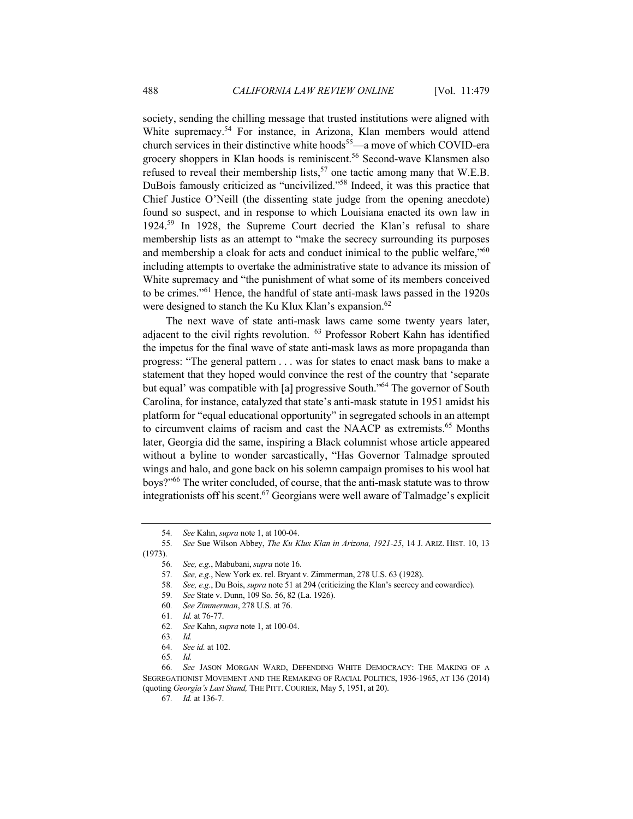society, sending the chilling message that trusted institutions were aligned with White supremacy.<sup>54</sup> For instance, in Arizona, Klan members would attend church services in their distinctive white hoods<sup>55</sup>—a move of which COVID-era grocery shoppers in Klan hoods is reminiscent.<sup>56</sup> Second-wave Klansmen also refused to reveal their membership lists,<sup>57</sup> one tactic among many that W.E.B. DuBois famously criticized as "uncivilized."58 Indeed, it was this practice that Chief Justice O'Neill (the dissenting state judge from the opening anecdote) found so suspect, and in response to which Louisiana enacted its own law in 1924.<sup>59</sup> In 1928, the Supreme Court decried the Klan's refusal to share membership lists as an attempt to "make the secrecy surrounding its purposes and membership a cloak for acts and conduct inimical to the public welfare,"60 including attempts to overtake the administrative state to advance its mission of White supremacy and "the punishment of what some of its members conceived to be crimes."<sup>61</sup> Hence, the handful of state anti-mask laws passed in the 1920s were designed to stanch the Ku Klux Klan's expansion.<sup>62</sup>

The next wave of state anti-mask laws came some twenty years later, adjacent to the civil rights revolution. <sup>63</sup> Professor Robert Kahn has identified the impetus for the final wave of state anti-mask laws as more propaganda than progress: "The general pattern . . . was for states to enact mask bans to make a statement that they hoped would convince the rest of the country that 'separate but equal' was compatible with [a] progressive South."<sup>64</sup> The governor of South Carolina, for instance, catalyzed that state's anti-mask statute in 1951 amidst his platform for "equal educational opportunity" in segregated schools in an attempt to circumvent claims of racism and cast the NAACP as extremists.<sup>65</sup> Months later, Georgia did the same, inspiring a Black columnist whose article appeared without a byline to wonder sarcastically, "Has Governor Talmadge sprouted wings and halo, and gone back on his solemn campaign promises to his wool hat boys?"66 The writer concluded, of course, that the anti-mask statute was to throw integrationists off his scent.<sup>67</sup> Georgians were well aware of Talmadge's explicit

- 59*. See* State v. Dunn, 109 So. 56, 82 (La. 1926).
- 60*. See Zimmerman*, 278 U.S. at 76.
- 61*. Id.* at 76-77.
- 62*. See* Kahn, *supra* note 1, at 100-04.
- 63*. Id.*

<sup>54</sup>*. See* Kahn, *supra* note 1, at 100-04.

<sup>55</sup>*. See* Sue Wilson Abbey, *The Ku Klux Klan in Arizona, 1921-25*, 14 J. ARIZ. HIST. 10, 13 (1973).

<sup>56</sup>*. See, e.g.*, Mabubani, *supra* note 16.

<sup>57.</sup> *See, e.g.*, New York ex. rel. Bryant v. Zimmerman, 278 U.S. 63 (1928). 58. *See, e.g.*, Du Bois, *supra* note 51 at 294 (criticizing the Klan's secrecy a 58*. See, e.g.*, Du Bois, *supra* note 51 at 294 (criticizing the Klan's secrecy and cowardice).

<sup>64</sup>*. See id.* at 102.

<sup>65</sup>*. Id.*

<sup>66</sup>*. See* JASON MORGAN WARD, DEFENDING WHITE DEMOCRACY: THE MAKING OF A SEGREGATIONIST MOVEMENT AND THE REMAKING OF RACIAL POLITICS, 1936-1965, AT 136 (2014) (quoting *Georgia's Last Stand,* THE PITT. COURIER, May 5, 1951, at 20).

<sup>67</sup>*. Id.* at 136-7.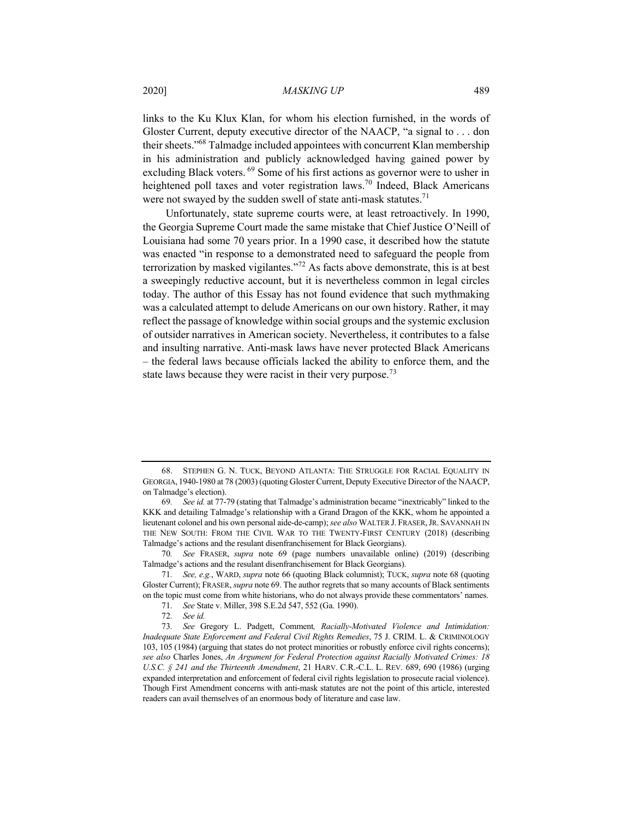links to the Ku Klux Klan, for whom his election furnished, in the words of Gloster Current, deputy executive director of the NAACP, "a signal to . . . don their sheets."68 Talmadge included appointees with concurrent Klan membership in his administration and publicly acknowledged having gained power by excluding Black voters. <sup>69</sup> Some of his first actions as governor were to usher in heightened poll taxes and voter registration laws.<sup>70</sup> Indeed, Black Americans were not swayed by the sudden swell of state anti-mask statutes.<sup>71</sup>

Unfortunately, state supreme courts were, at least retroactively. In 1990, the Georgia Supreme Court made the same mistake that Chief Justice O'Neill of Louisiana had some 70 years prior. In a 1990 case, it described how the statute was enacted "in response to a demonstrated need to safeguard the people from terrorization by masked vigilantes."<sup>72</sup> As facts above demonstrate, this is at best a sweepingly reductive account, but it is nevertheless common in legal circles today. The author of this Essay has not found evidence that such mythmaking was a calculated attempt to delude Americans on our own history. Rather, it may reflect the passage of knowledge within social groups and the systemic exclusion of outsider narratives in American society. Nevertheless, it contributes to a false and insulting narrative. Anti-mask laws have never protected Black Americans – the federal laws because officials lacked the ability to enforce them, and the state laws because they were racist in their very purpose.<sup>73</sup>

<sup>68.</sup> STEPHEN G. N. TUCK, BEYOND ATLANTA: THE STRUGGLE FOR RACIAL EQUALITY IN GEORGIA, 1940-1980 at 78 (2003) (quoting Gloster Current, Deputy Executive Director of the NAACP, on Talmadge's election).

<sup>69</sup>*. See id.* at 77-79 (stating that Talmadge's administration became "inextricably" linked to the KKK and detailing Talmadge's relationship with a Grand Dragon of the KKK, whom he appointed a lieutenant colonel and his own personal aide-de-camp); *see also* WALTER J. FRASER,JR. SAVANNAH IN THE NEW SOUTH: FROM THE CIVIL WAR TO THE TWENTY-FIRST CENTURY (2018) (describing Talmadge's actions and the resulant disenfranchisement for Black Georgians).

<sup>70</sup>*. See* FRASER, *supra* note 69 (page numbers unavailable online) (2019) (describing Talmadge's actions and the resulant disenfranchisement for Black Georgians).

<sup>71</sup>*. See, e.g.*, WARD, *supra* note 66 (quoting Black columnist); TUCK, *supra* note 68 (quoting Gloster Current); FRASER, *supra* note 69. The author regrets that so many accounts of Black sentiments on the topic must come from white historians, who do not always provide these commentators' names.

<sup>71</sup>*. See* State v. Miller, 398 S.E.2d 547, 552 (Ga. 1990).

<sup>72</sup>*. See id.*

<sup>73</sup>*. See* Gregory L. Padgett, Comment*, Racially-Motivated Violence and Intimidation: Inadequate State Enforcement and Federal Civil Rights Remedies*, 75 J. CRIM. L. & CRIMINOLOGY 103, 105 (1984) (arguing that states do not protect minorities or robustly enforce civil rights concerns); *see also* Charles Jones, *An Argument for Federal Protection against Racially Motivated Crimes: 18 U.S.C. § 241 and the Thirteenth Amendment*, 21 HARV. C.R.-C.L. L. REV. 689, 690 (1986) (urging expanded interpretation and enforcement of federal civil rights legislation to prosecute racial violence). Though First Amendment concerns with anti-mask statutes are not the point of this article, interested readers can avail themselves of an enormous body of literature and case law.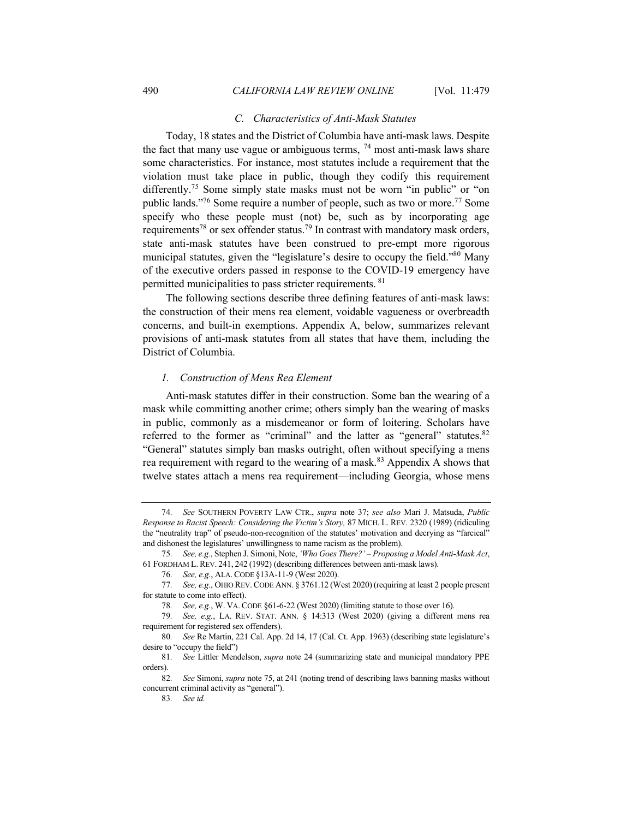### *C. Characteristics of Anti-Mask Statutes*

Today, 18 states and the District of Columbia have anti-mask laws. Despite the fact that many use vague or ambiguous terms,  $^{74}$  most anti-mask laws share some characteristics. For instance, most statutes include a requirement that the violation must take place in public, though they codify this requirement differently.<sup>75</sup> Some simply state masks must not be worn "in public" or "on public lands."<sup>76</sup> Some require a number of people, such as two or more.<sup>77</sup> Some specify who these people must (not) be, such as by incorporating age requirements<sup>78</sup> or sex offender status.<sup>79</sup> In contrast with mandatory mask orders, state anti-mask statutes have been construed to pre-empt more rigorous municipal statutes, given the "legislature's desire to occupy the field."<sup>80</sup> Many of the executive orders passed in response to the COVID-19 emergency have permitted municipalities to pass stricter requirements. <sup>81</sup>

The following sections describe three defining features of anti-mask laws: the construction of their mens rea element, voidable vagueness or overbreadth concerns, and built-in exemptions. Appendix A, below, summarizes relevant provisions of anti-mask statutes from all states that have them, including the District of Columbia.

# *1. Construction of Mens Rea Element*

Anti-mask statutes differ in their construction. Some ban the wearing of a mask while committing another crime; others simply ban the wearing of masks in public, commonly as a misdemeanor or form of loitering. Scholars have referred to the former as "criminal" and the latter as "general" statutes. $82$ "General" statutes simply ban masks outright, often without specifying a mens rea requirement with regard to the wearing of a mask.<sup>83</sup> Appendix A shows that twelve states attach a mens rea requirement—including Georgia, whose mens

<sup>74</sup>*. See* SOUTHERN POVERTY LAW CTR., *supra* note 37; *see also* Mari J. Matsuda, *Public Response to Racist Speech: Considering the Victim's Story,* 87 MICH. L. REV. 2320 (1989) (ridiculing the "neutrality trap" of pseudo-non-recognition of the statutes' motivation and decrying as "farcical" and dishonest the legislatures' unwillingness to name racism as the problem).

<sup>75</sup>*. See, e.g.*, Stephen J. Simoni, Note, *'Who Goes There?' – Proposing a Model Anti-Mask Act*, 61 FORDHAM L. REV. 241, 242 (1992) (describing differences between anti-mask laws).

<sup>76</sup>*. See, e.g.*, ALA. CODE §13A-11-9 (West 2020).

<sup>77</sup>*. See, e.g.*, OHIO REV. CODE ANN. § 3761.12 (West 2020) (requiring at least 2 people present for statute to come into effect).

<sup>78</sup>*. See, e.g.*, W. VA. CODE §61-6-22 (West 2020) (limiting statute to those over 16).

<sup>79</sup>*. See, e.g.*, LA. REV. STAT. ANN. § 14:313 (West 2020) (giving a different mens rea requirement for registered sex offenders).

<sup>80</sup>*. See* Re Martin, 221 Cal. App. 2d 14, 17 (Cal. Ct. App. 1963) (describing state legislature's desire to "occupy the field")

<sup>81</sup>*. See* Littler Mendelson, *supra* note 24 (summarizing state and municipal mandatory PPE orders).

<sup>82</sup>*. See* Simoni, *supra* note 75, at 241 (noting trend of describing laws banning masks without concurrent criminal activity as "general").

<sup>83</sup>*. See id.*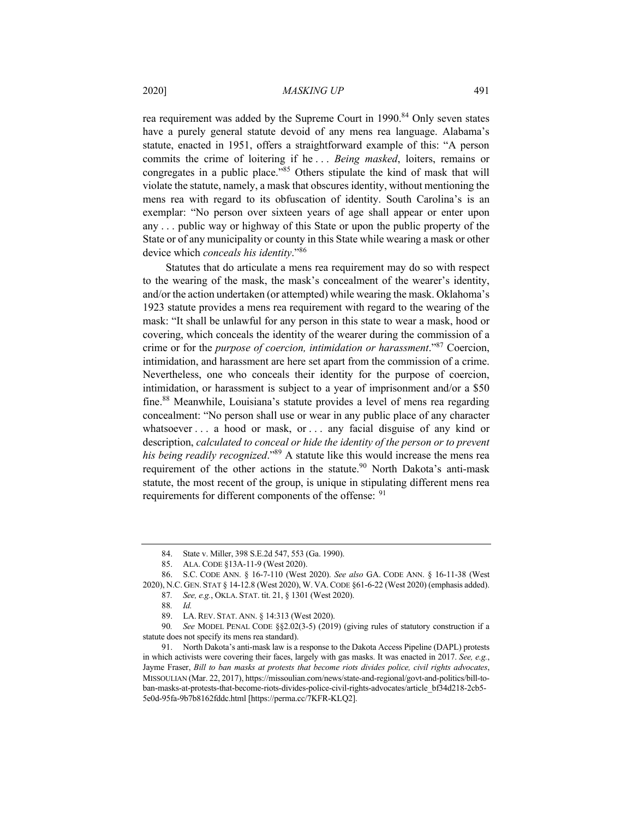rea requirement was added by the Supreme Court in 1990.<sup>84</sup> Only seven states have a purely general statute devoid of any mens rea language. Alabama's statute, enacted in 1951, offers a straightforward example of this: "A person commits the crime of loitering if he . . . *Being masked*, loiters, remains or congregates in a public place."85 Others stipulate the kind of mask that will violate the statute, namely, a mask that obscures identity, without mentioning the mens rea with regard to its obfuscation of identity. South Carolina's is an exemplar: "No person over sixteen years of age shall appear or enter upon any . . . public way or highway of this State or upon the public property of the State or of any municipality or county in this State while wearing a mask or other device which *conceals his identity*."<sup>86</sup>

Statutes that do articulate a mens rea requirement may do so with respect to the wearing of the mask, the mask's concealment of the wearer's identity, and/or the action undertaken (or attempted) while wearing the mask. Oklahoma's 1923 statute provides a mens rea requirement with regard to the wearing of the mask: "It shall be unlawful for any person in this state to wear a mask, hood or covering, which conceals the identity of the wearer during the commission of a crime or for the *purpose of coercion, intimidation or harassment*."87 Coercion, intimidation, and harassment are here set apart from the commission of a crime. Nevertheless, one who conceals their identity for the purpose of coercion, intimidation, or harassment is subject to a year of imprisonment and/or a \$50 fine.<sup>88</sup> Meanwhile, Louisiana's statute provides a level of mens rea regarding concealment: "No person shall use or wear in any public place of any character whatsoever . . . a hood or mask, or . . . any facial disguise of any kind or description, *calculated to conceal or hide the identity of the person or to prevent his being readily recognized*."89 A statute like this would increase the mens rea requirement of the other actions in the statute.<sup>90</sup> North Dakota's anti-mask statute, the most recent of the group, is unique in stipulating different mens rea requirements for different components of the offense: <sup>91</sup>

<sup>84.</sup> State v. Miller, 398 S.E.2d 547, 553 (Ga. 1990).

<sup>85.</sup> ALA. CODE §13A-11-9 (West 2020).

<sup>86.</sup> S.C. CODE ANN. § 16-7-110 (West 2020). *See also* GA. CODE ANN. § 16-11-38 (West 2020), N.C. GEN. STAT § 14-12.8 (West 2020), W. VA.CODE §61-6-22 (West 2020) (emphasis added).

<sup>87</sup>*. See, e.g.*, OKLA. STAT. tit. 21, § 1301 (West 2020).

<sup>88</sup>*. Id.*

<sup>89.</sup> LA. REV. STAT. ANN. § 14:313 (West 2020).

<sup>90</sup>*. See* MODEL PENAL CODE §§2.02(3-5) (2019) (giving rules of statutory construction if a statute does not specify its mens rea standard).

<sup>91.</sup> North Dakota's anti-mask law is a response to the Dakota Access Pipeline (DAPL) protests in which activists were covering their faces, largely with gas masks. It was enacted in 2017. *See, e.g.*, Jayme Fraser, *Bill to ban masks at protests that become riots divides police, civil rights advocates*, MISSOULIAN (Mar. 22, 2017), https://missoulian.com/news/state-and-regional/govt-and-politics/bill-toban-masks-at-protests-that-become-riots-divides-police-civil-rights-advocates/article\_bf34d218-2cb5- 5e0d-95fa-9b7b8162fddc.html [https://perma.cc/7KFR-KLQ2].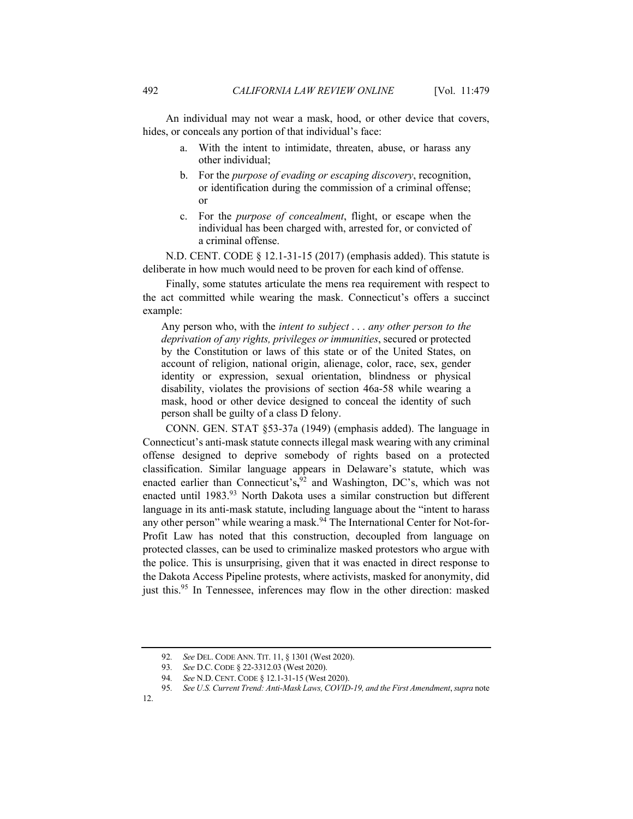An individual may not wear a mask, hood, or other device that covers, hides, or conceals any portion of that individual's face:

- a. With the intent to intimidate, threaten, abuse, or harass any other individual;
- b. For the *purpose of evading or escaping discovery*, recognition, or identification during the commission of a criminal offense; or
- c. For the *purpose of concealment*, flight, or escape when the individual has been charged with, arrested for, or convicted of a criminal offense.

N.D. CENT. CODE § 12.1-31-15 (2017) (emphasis added). This statute is deliberate in how much would need to be proven for each kind of offense.

Finally, some statutes articulate the mens rea requirement with respect to the act committed while wearing the mask. Connecticut's offers a succinct example:

Any person who, with the *intent to subject* . . . *any other person to the deprivation of any rights, privileges or immunities*, secured or protected by the Constitution or laws of this state or of the United States, on account of religion, national origin, alienage, color, race, sex, gender identity or expression, sexual orientation, blindness or physical disability, violates the provisions of section 46a-58 while wearing a mask, hood or other device designed to conceal the identity of such person shall be guilty of a class D felony.

CONN. GEN. STAT §53-37a (1949) (emphasis added). The language in Connecticut's anti-mask statute connects illegal mask wearing with any criminal offense designed to deprive somebody of rights based on a protected classification. Similar language appears in Delaware's statute, which was enacted earlier than Connecticut's**,** <sup>92</sup> and Washington, DC's, which was not enacted until 1983.<sup>93</sup> North Dakota uses a similar construction but different language in its anti-mask statute, including language about the "intent to harass" any other person" while wearing a mask.<sup>94</sup> The International Center for Not-for-Profit Law has noted that this construction, decoupled from language on protected classes, can be used to criminalize masked protestors who argue with the police. This is unsurprising, given that it was enacted in direct response to the Dakota Access Pipeline protests, where activists, masked for anonymity, did just this.<sup>95</sup> In Tennessee, inferences may flow in the other direction: masked

<sup>92</sup>*. See* DEL. CODE ANN. TIT. 11, § 1301 (West 2020).

<sup>93</sup>*. See* D.C. CODE § 22-3312.03 (West 2020).

<sup>94</sup>*. See* N.D. CENT. CODE § 12.1-31-15 (West 2020).

<sup>95</sup>*. See U.S. Current Trend: Anti-Mask Laws, COVID-19, and the First Amendment*, *supra* note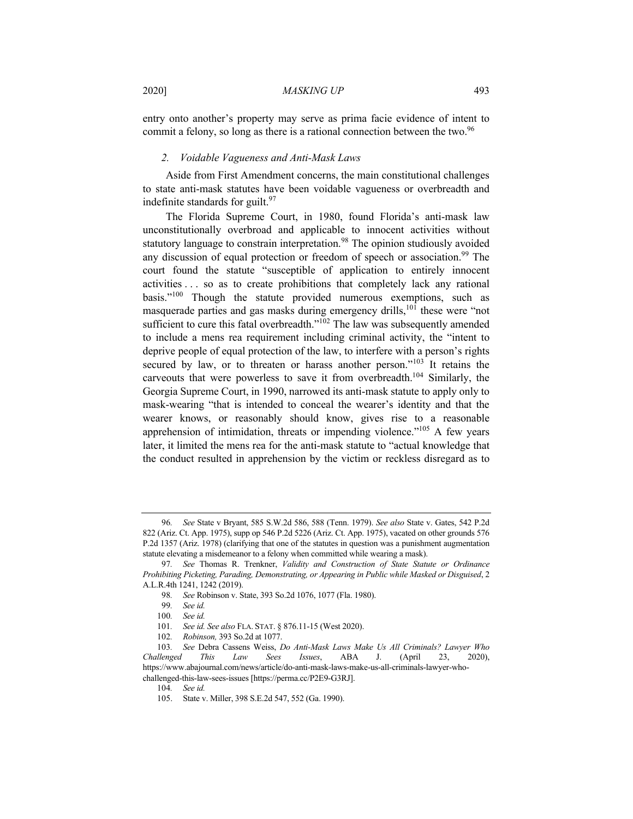entry onto another's property may serve as prima facie evidence of intent to commit a felony, so long as there is a rational connection between the two.<sup>96</sup>

#### *2. Voidable Vagueness and Anti-Mask Laws*

Aside from First Amendment concerns, the main constitutional challenges to state anti-mask statutes have been voidable vagueness or overbreadth and indefinite standards for guilt.  $97$ 

The Florida Supreme Court, in 1980, found Florida's anti-mask law unconstitutionally overbroad and applicable to innocent activities without statutory language to constrain interpretation.<sup>98</sup> The opinion studiously avoided any discussion of equal protection or freedom of speech or association.<sup>99</sup> The court found the statute "susceptible of application to entirely innocent activities . . . so as to create prohibitions that completely lack any rational basis."<sup>100</sup> Though the statute provided numerous exemptions, such as masquerade parties and gas masks during emergency drills,<sup>101</sup> these were "not sufficient to cure this fatal overbreadth."<sup>102</sup> The law was subsequently amended to include a mens rea requirement including criminal activity, the "intent to deprive people of equal protection of the law, to interfere with a person's rights secured by law, or to threaten or harass another person."<sup>103</sup> It retains the carveouts that were powerless to save it from overbreadth.<sup>104</sup> Similarly, the Georgia Supreme Court, in 1990, narrowed its anti-mask statute to apply only to mask-wearing "that is intended to conceal the wearer's identity and that the wearer knows, or reasonably should know, gives rise to a reasonable apprehension of intimidation, threats or impending violence."<sup>105</sup> A few years later, it limited the mens rea for the anti-mask statute to "actual knowledge that the conduct resulted in apprehension by the victim or reckless disregard as to

<sup>96</sup>*. See* State v Bryant, 585 S.W.2d 586, 588 (Tenn. 1979). *See also* State v. Gates, 542 P.2d 822 (Ariz. Ct. App. 1975), supp op 546 P.2d 5226 (Ariz. Ct. App. 1975), vacated on other grounds 576 P.2d 1357 (Ariz. 1978) (clarifying that one of the statutes in question was a punishment augmentation statute elevating a misdemeanor to a felony when committed while wearing a mask).

<sup>97</sup>*. See* Thomas R. Trenkner, *Validity and Construction of State Statute or Ordinance Prohibiting Picketing, Parading, Demonstrating, or Appearing in Public while Masked or Disguised*, 2 A.L.R.4th 1241, 1242 (2019).

<sup>98</sup>*. See* Robinson v. State, 393 So.2d 1076, 1077 (Fla. 1980).

<sup>99</sup>*. See id.*

<sup>100</sup>*. See id.*

<sup>101</sup>*. See id. See also* FLA. STAT. § 876.11-15 (West 2020).

<sup>102</sup>*. Robinson,* 393 So.2d at 1077.

<sup>103</sup>*. See* Debra Cassens Weiss, *Do Anti-Mask Laws Make Us All Criminals? Lawyer Who Challenged This Law Sees Issues*, ABA J. (April 23, 2020), https://www.abajournal.com/news/article/do-anti-mask-laws-make-us-all-criminals-lawyer-whochallenged-this-law-sees-issues [https://perma.cc/P2E9-G3RJ].

<sup>104</sup>*. See id.*

<sup>105.</sup> State v. Miller, 398 S.E.2d 547, 552 (Ga. 1990).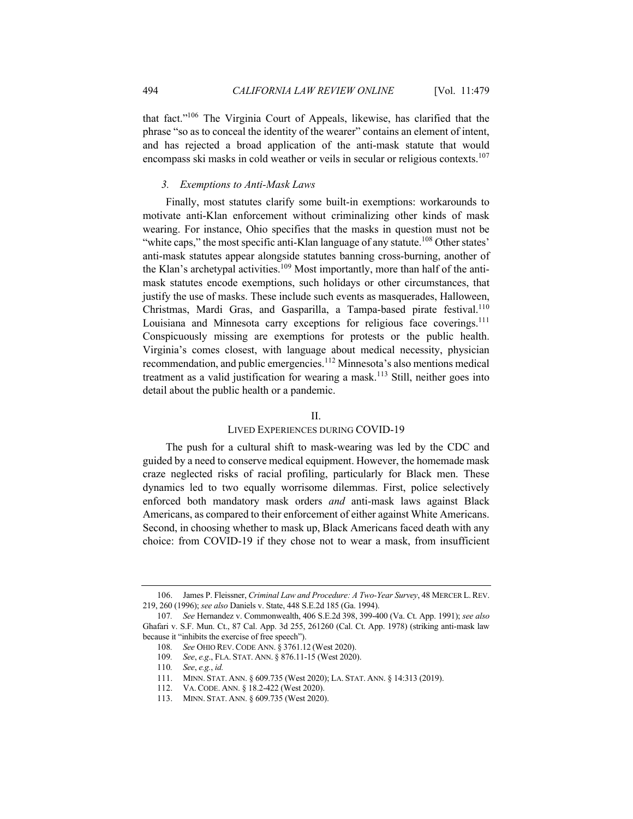that fact."106 The Virginia Court of Appeals, likewise, has clarified that the phrase "so as to conceal the identity of the wearer" contains an element of intent, and has rejected a broad application of the anti-mask statute that would encompass ski masks in cold weather or veils in secular or religious contexts.<sup>107</sup>

#### *3. Exemptions to Anti-Mask Laws*

Finally, most statutes clarify some built-in exemptions: workarounds to motivate anti-Klan enforcement without criminalizing other kinds of mask wearing. For instance, Ohio specifies that the masks in question must not be "white caps," the most specific anti-Klan language of any statute.<sup>108</sup> Other states' anti-mask statutes appear alongside statutes banning cross-burning, another of the Klan's archetypal activities.<sup>109</sup> Most importantly, more than half of the antimask statutes encode exemptions, such holidays or other circumstances, that justify the use of masks. These include such events as masquerades, Halloween, Christmas, Mardi Gras, and Gasparilla, a Tampa-based pirate festival.<sup>110</sup> Louisiana and Minnesota carry exceptions for religious face coverings.<sup>111</sup> Conspicuously missing are exemptions for protests or the public health. Virginia's comes closest, with language about medical necessity, physician recommendation, and public emergencies.<sup>112</sup> Minnesota's also mentions medical treatment as a valid justification for wearing a mask.<sup>113</sup> Still, neither goes into detail about the public health or a pandemic.

# II.

# LIVED EXPERIENCES DURING COVID-19

The push for a cultural shift to mask-wearing was led by the CDC and guided by a need to conserve medical equipment. However, the homemade mask craze neglected risks of racial profiling, particularly for Black men. These dynamics led to two equally worrisome dilemmas. First, police selectively enforced both mandatory mask orders *and* anti-mask laws against Black Americans, as compared to their enforcement of either against White Americans. Second, in choosing whether to mask up, Black Americans faced death with any choice: from COVID-19 if they chose not to wear a mask, from insufficient

<sup>106.</sup> James P. Fleissner, *Criminal Law and Procedure: A Two-Year Survey*, 48 MERCER L.REV. 219, 260 (1996); *see also* Daniels v. State, 448 S.E.2d 185 (Ga. 1994).

<sup>107</sup>*. See* Hernandez v. Commonwealth, 406 S.E.2d 398, 399-400 (Va. Ct. App. 1991); *see also*  Ghafari v. S.F. Mun. Ct., 87 Cal. App. 3d 255, 261260 (Cal. Ct. App. 1978) (striking anti-mask law because it "inhibits the exercise of free speech").

<sup>108</sup>*. See* OHIO REV. CODE ANN. § 3761.12 (West 2020).

<sup>109</sup>*. See*, *e.g*., FLA. STAT. ANN. § 876.11-15 (West 2020).

<sup>110</sup>*. See*, *e.g.*, *id.*

<sup>111.</sup> MINN. STAT. ANN. § 609.735 (West 2020); LA. STAT. ANN. § 14:313 (2019).

<sup>112.</sup> VA. CODE. ANN. § 18.2-422 (West 2020).

<sup>113.</sup> MINN. STAT. ANN. § 609.735 (West 2020).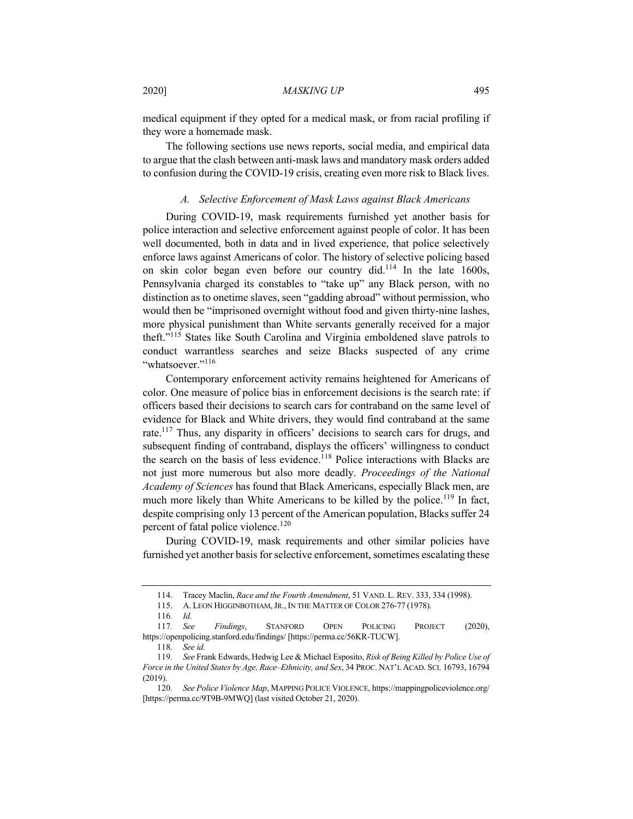medical equipment if they opted for a medical mask, or from racial profiling if they wore a homemade mask.

The following sections use news reports, social media, and empirical data to argue that the clash between anti-mask laws and mandatory mask orders added to confusion during the COVID-19 crisis, creating even more risk to Black lives.

#### *A. Selective Enforcement of Mask Laws against Black Americans*

During COVID-19, mask requirements furnished yet another basis for police interaction and selective enforcement against people of color. It has been well documented, both in data and in lived experience, that police selectively enforce laws against Americans of color. The history of selective policing based on skin color began even before our country did.<sup>114</sup> In the late 1600s, Pennsylvania charged its constables to "take up" any Black person, with no distinction as to onetime slaves, seen "gadding abroad" without permission, who would then be "imprisoned overnight without food and given thirty-nine lashes, more physical punishment than White servants generally received for a major theft."<sup>115</sup> States like South Carolina and Virginia emboldened slave patrols to conduct warrantless searches and seize Blacks suspected of any crime "whatsoever."<sup>116</sup>

Contemporary enforcement activity remains heightened for Americans of color. One measure of police bias in enforcement decisions is the search rate: if officers based their decisions to search cars for contraband on the same level of evidence for Black and White drivers, they would find contraband at the same rate.117 Thus, any disparity in officers' decisions to search cars for drugs, and subsequent finding of contraband, displays the officers' willingness to conduct the search on the basis of less evidence.<sup>118</sup> Police interactions with Blacks are not just more numerous but also more deadly. *Proceedings of the National Academy of Sciences* has found that Black Americans, especially Black men, are much more likely than White Americans to be killed by the police.<sup>119</sup> In fact, despite comprising only 13 percent of the American population, Blacks suffer 24 percent of fatal police violence.<sup>120</sup>

During COVID-19, mask requirements and other similar policies have furnished yet another basis for selective enforcement, sometimes escalating these

<sup>114.</sup> Tracey Maclin, *Race and the Fourth Amendment*, 51 VAND. L. REV. 333, 334 (1998).

<sup>115.</sup> A. LEON HIGGINBOTHAM, JR., IN THE MATTER OF COLOR 276-77 (1978).

<sup>116</sup>*. Id.*

<sup>117</sup>*. See Findings*, STANFORD OPEN POLICING PROJECT (2020), https://openpolicing.stanford.edu/findings/ [https://perma.cc/56KR-TUCW].

<sup>118</sup>*. See id.*

<sup>119</sup>*. See* Frank Edwards, Hedwig Lee & Michael Esposito, *Risk of Being Killed by Police Use of Force in the United States by Age, Race–Ethnicity, and Sex*, 34 PROC. NAT'L ACAD. SCI. 16793, 16794 (2019).

<sup>120</sup>*. See Police Violence Map*, MAPPING POLICE VIOLENCE, https://mappingpoliceviolence.org/ [https://perma.cc/9T9B-9MWQ] (last visited October 21, 2020).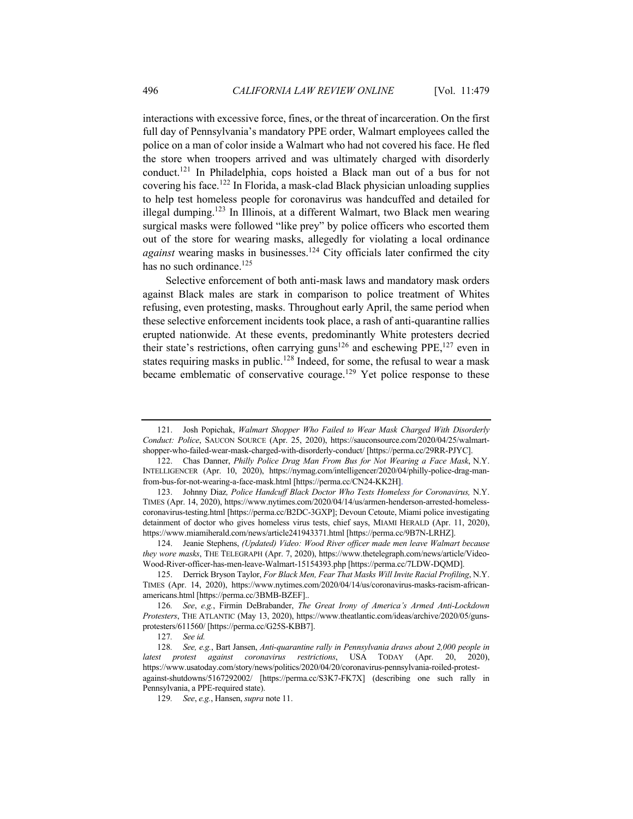interactions with excessive force, fines, or the threat of incarceration. On the first full day of Pennsylvania's mandatory PPE order, Walmart employees called the police on a man of color inside a Walmart who had not covered his face. He fled the store when troopers arrived and was ultimately charged with disorderly conduct.121 In Philadelphia, cops hoisted a Black man out of a bus for not covering his face.<sup>122</sup> In Florida, a mask-clad Black physician unloading supplies to help test homeless people for coronavirus was handcuffed and detailed for illegal dumping.123 In Illinois, at a different Walmart, two Black men wearing surgical masks were followed "like prey" by police officers who escorted them out of the store for wearing masks, allegedly for violating a local ordinance *against* wearing masks in businesses.<sup>124</sup> City officials later confirmed the city has no such ordinance. $125$ 

Selective enforcement of both anti-mask laws and mandatory mask orders against Black males are stark in comparison to police treatment of Whites refusing, even protesting, masks. Throughout early April, the same period when these selective enforcement incidents took place, a rash of anti-quarantine rallies erupted nationwide. At these events, predominantly White protesters decried their state's restrictions, often carrying guns<sup>126</sup> and eschewing PPE, <sup>127</sup> even in states requiring masks in public.<sup>128</sup> Indeed, for some, the refusal to wear a mask became emblematic of conservative courage.<sup>129</sup> Yet police response to these

<sup>121.</sup> Josh Popichak, *Walmart Shopper Who Failed to Wear Mask Charged With Disorderly Conduct: Police*, SAUCON SOURCE (Apr. 25, 2020), https://sauconsource.com/2020/04/25/walmartshopper-who-failed-wear-mask-charged-with-disorderly-conduct/ [https://perma.cc/29RR-PJYC].

<sup>122.</sup> Chas Danner, *Philly Police Drag Man From Bus for Not Wearing a Face Mask*, N.Y. INTELLIGENCER (Apr. 10, 2020), https://nymag.com/intelligencer/2020/04/philly-police-drag-manfrom-bus-for-not-wearing-a-face-mask.html [https://perma.cc/CN24-KK2H].

<sup>123.</sup> Johnny Diaz*, Police Handcuff Black Doctor Who Tests Homeless for Coronavirus,* N.Y. TIMES (Apr. 14, 2020), https://www.nytimes.com/2020/04/14/us/armen-henderson-arrested-homelesscoronavirus-testing.html [https://perma.cc/B2DC-3GXP]; Devoun Cetoute, Miami police investigating detainment of doctor who gives homeless virus tests, chief says, MIAMI HERALD (Apr. 11, 2020), https://www.miamiherald.com/news/article241943371.html [https://perma.cc/9B7N-LRHZ].

<sup>124.</sup> Jeanie Stephens, *(Updated) Video: Wood River officer made men leave Walmart because they wore masks*, THE TELEGRAPH (Apr. 7, 2020), https://www.thetelegraph.com/news/article/Video-Wood-River-officer-has-men-leave-Walmart-15154393.php [https://perma.cc/7LDW-DQMD].

<sup>125.</sup> Derrick Bryson Taylor, *For Black Men, Fear That Masks Will Invite Racial Profiling*, N.Y. TIMES (Apr. 14, 2020), https://www.nytimes.com/2020/04/14/us/coronavirus-masks-racism-africanamericans.html [https://perma.cc/3BMB-BZEF]..

<sup>126</sup>*. See*, *e.g.*, Firmin DeBrabander, *The Great Irony of America's Armed Anti-Lockdown Protesters*, THE ATLANTIC (May 13, 2020), https://www.theatlantic.com/ideas/archive/2020/05/gunsprotesters/611560/ [https://perma.cc/G25S-KBB7].

<sup>127</sup>*. See id.*

<sup>128</sup>*. See, e.g.*, Bart Jansen, *Anti-quarantine rally in Pennsylvania draws about 2,000 people in latest protest against coronavirus restrictions*, USA TODAY (Apr. 20, 2020), https://www.usatoday.com/story/news/politics/2020/04/20/coronavirus-pennsylvania-roiled-protestagainst-shutdowns/5167292002/ [https://perma.cc/S3K7-FK7X] (describing one such rally in Pennsylvania, a PPE-required state).

<sup>129</sup>*. See*, *e.g.*, Hansen, *supra* note 11.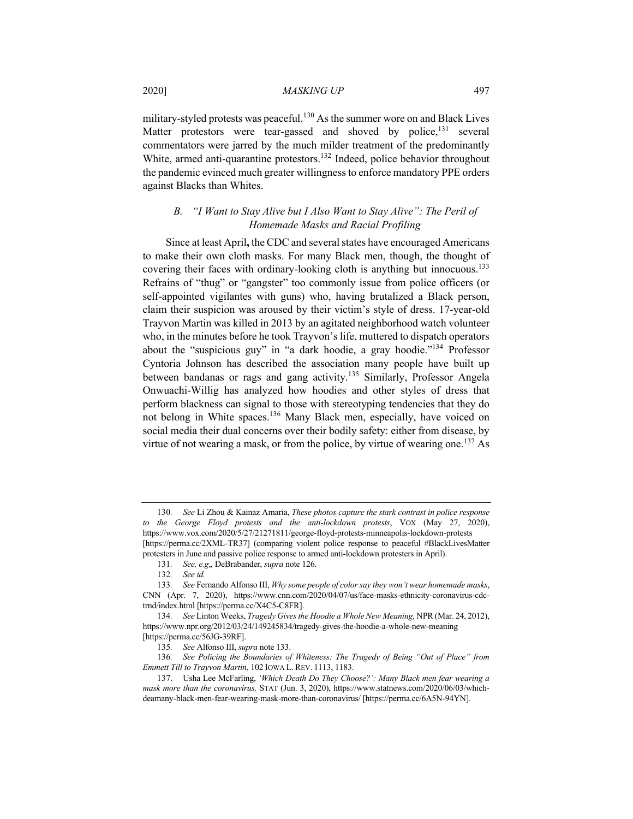military-styled protests was peaceful.<sup>130</sup> As the summer wore on and Black Lives Matter protestors were tear-gassed and shoved by police,<sup>131</sup> several commentators were jarred by the much milder treatment of the predominantly White, armed anti-quarantine protestors.<sup>132</sup> Indeed, police behavior throughout the pandemic evinced much greater willingness to enforce mandatory PPE orders against Blacks than Whites.

# *B. "I Want to Stay Alive but I Also Want to Stay Alive": The Peril of Homemade Masks and Racial Profiling*

Since at least April**,** the CDC and several states have encouraged Americans to make their own cloth masks. For many Black men, though, the thought of covering their faces with ordinary-looking cloth is anything but innocuous.<sup>133</sup> Refrains of "thug" or "gangster" too commonly issue from police officers (or self-appointed vigilantes with guns) who, having brutalized a Black person, claim their suspicion was aroused by their victim's style of dress. 17-year-old Trayvon Martin was killed in 2013 by an agitated neighborhood watch volunteer who, in the minutes before he took Trayvon's life, muttered to dispatch operators about the "suspicious guy" in "a dark hoodie, a gray hoodie."<sup>134</sup> Professor Cyntoria Johnson has described the association many people have built up between bandanas or rags and gang activity.<sup>135</sup> Similarly, Professor Angela Onwuachi-Willig has analyzed how hoodies and other styles of dress that perform blackness can signal to those with stereotyping tendencies that they do not belong in White spaces.136 Many Black men, especially, have voiced on social media their dual concerns over their bodily safety: either from disease, by virtue of not wearing a mask, or from the police, by virtue of wearing one.<sup>137</sup> As

136*. See Policing the Boundaries of Whiteness: The Tragedy of Being "Out of Place" from Emmett Till to Trayvon Martin*, 102 IOWA L. REV. 1113, 1183.

<sup>130</sup>*. See* Li Zhou & Kainaz Amaria, *These photos capture the stark contrast in police response to the George Floyd protests and the anti-lockdown protests*, VOX (May 27, 2020), https://www.vox.com/2020/5/27/21271811/george-floyd-protests-minneapolis-lockdown-protests [https://perma.cc/2XML-TR37] (comparing violent police response to peaceful #BlackLivesMatter protesters in June and passive police response to armed anti-lockdown protesters in April).

<sup>131</sup>*. See, e.g*,*,* DeBrabander, *supra* note 126.

<sup>132</sup>*. See id.*

<sup>133</sup>*. See* Fernando Alfonso III, *Why some people of color say they won't wear homemade masks*, CNN (Apr. 7, 2020), https://www.cnn.com/2020/04/07/us/face-masks-ethnicity-coronavirus-cdctrnd/index.html [https://perma.cc/X4C5-C8FR].

<sup>134</sup>*. See* Linton Weeks, *Tragedy Gives the Hoodie a Whole New Meaning,* NPR (Mar. 24, 2012), https://www.npr.org/2012/03/24/149245834/tragedy-gives-the-hoodie-a-whole-new-meaning [https://perma.cc/56JG-39RF].

<sup>135</sup>*. See* Alfonso III, *supra* note 133.

<sup>137.</sup> Usha Lee McFarling, *'Which Death Do They Choose?': Many Black men fear wearing a mask more than the coronavirus,* STAT (Jun. 3, 2020), https://www.statnews.com/2020/06/03/whichdeamany-black-men-fear-wearing-mask-more-than-coronavirus/ [https://perma.cc/6A5N-94YN].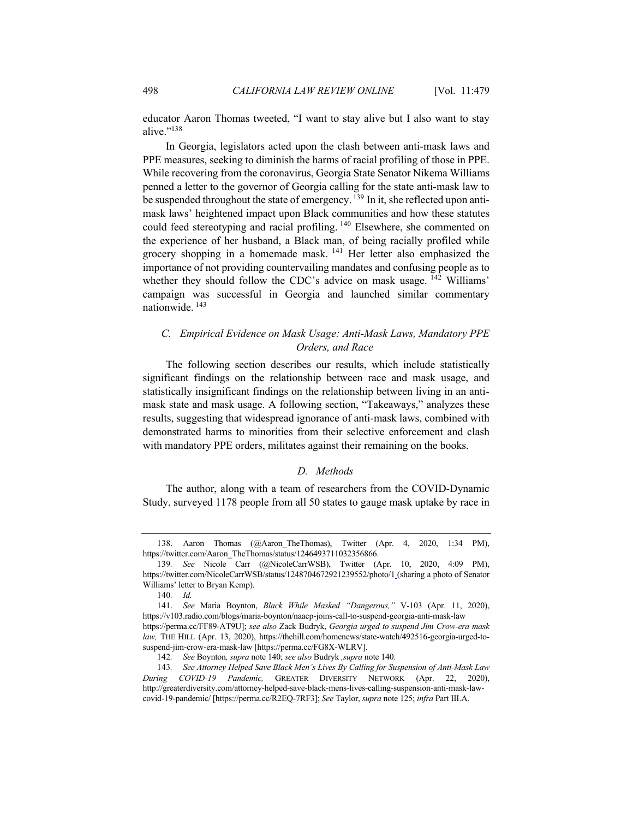educator Aaron Thomas tweeted, "I want to stay alive but I also want to stay alive."<sup>138</sup>

In Georgia, legislators acted upon the clash between anti-mask laws and PPE measures, seeking to diminish the harms of racial profiling of those in PPE. While recovering from the coronavirus, Georgia State Senator Nikema Williams penned a letter to the governor of Georgia calling for the state anti-mask law to be suspended throughout the state of emergency.<sup>139</sup> In it, she reflected upon antimask laws' heightened impact upon Black communities and how these statutes could feed stereotyping and racial profiling. <sup>140</sup> Elsewhere, she commented on the experience of her husband, a Black man, of being racially profiled while grocery shopping in a homemade mask. <sup>141</sup> Her letter also emphasized the importance of not providing countervailing mandates and confusing people as to whether they should follow the CDC's advice on mask usage.  $^{142}$  Williams' campaign was successful in Georgia and launched similar commentary nationwide. <sup>143</sup>

# *C. Empirical Evidence on Mask Usage: Anti-Mask Laws, Mandatory PPE Orders, and Race*

The following section describes our results, which include statistically significant findings on the relationship between race and mask usage, and statistically insignificant findings on the relationship between living in an antimask state and mask usage. A following section, "Takeaways," analyzes these results, suggesting that widespread ignorance of anti-mask laws, combined with demonstrated harms to minorities from their selective enforcement and clash with mandatory PPE orders, militates against their remaining on the books.

# *D. Methods*

The author, along with a team of researchers from the COVID-Dynamic Study, surveyed 1178 people from all 50 states to gauge mask uptake by race in

<sup>138.</sup> Aaron Thomas (@Aaron\_TheThomas), Twitter (Apr. 4, 2020, 1:34 PM), https://twitter.com/Aaron\_TheThomas/status/1246493711032356866.

<sup>139</sup>*. See* Nicole Carr (@NicoleCarrWSB), Twitter (Apr. 10, 2020, 4:09 PM), https://twitter.com/NicoleCarrWSB/status/1248704672921239552/photo/1 (sharing a photo of Senator Williams' letter to Bryan Kemp).

<sup>140</sup>*. Id.*

<sup>141.</sup> *See* Maria Boynton, *Black While Masked "Dangerous,"* V-103 (Apr. 11, 2020), https://v103.radio.com/blogs/maria-boynton/naacp-joins-call-to-suspend-georgia-anti-mask-law https://perma.cc/FF89-AT9U]; *see also* Zack Budryk, *Georgia urged to suspend Jim Crow-era mask law,* THE HILL (Apr. 13, 2020), https://thehill.com/homenews/state-watch/492516-georgia-urged-tosuspend-jim-crow-era-mask-law [https://perma.cc/FG8X-WLRV].

<sup>142</sup>*. See* Boynton*, supra* note 140; *see also* Budryk *,supra* note 140*.*

<sup>143</sup>*. See Attorney Helped Save Black Men's Lives By Calling for Suspension of Anti-Mask Law During COVID-19 Pandemic,* GREATER DIVERSITY NETWORK (Apr. 22, 2020), http://greaterdiversity.com/attorney-helped-save-black-mens-lives-calling-suspension-anti-mask-lawcovid-19-pandemic/ [https://perma.cc/R2EQ-7RF3]; *See* Taylor, *supra* note 125; *infra* Part III.A.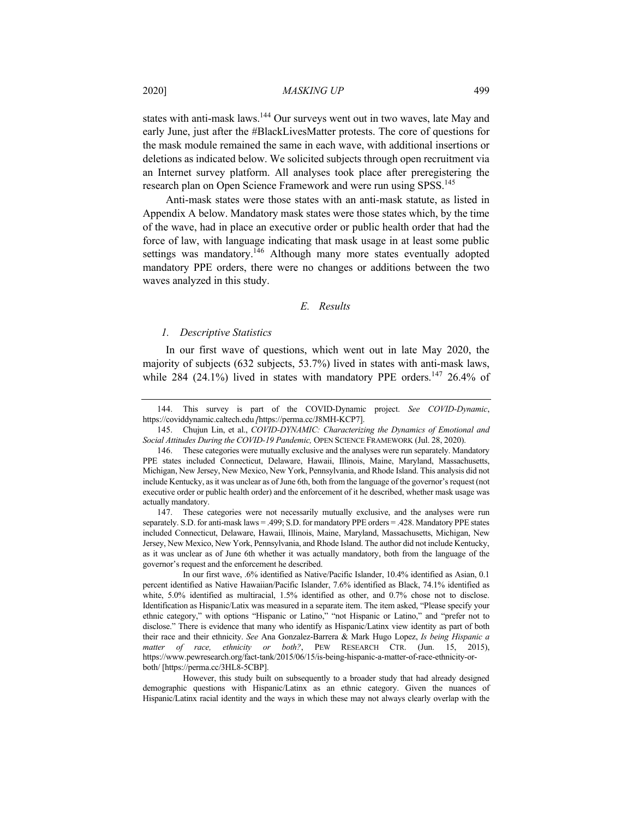states with anti-mask laws.<sup>144</sup> Our surveys went out in two waves, late May and early June, just after the #BlackLivesMatter protests. The core of questions for the mask module remained the same in each wave, with additional insertions or deletions as indicated below. We solicited subjects through open recruitment via an Internet survey platform. All analyses took place after preregistering the research plan on Open Science Framework and were run using SPSS.<sup>145</sup>

Anti-mask states were those states with an anti-mask statute, as listed in Appendix A below. Mandatory mask states were those states which, by the time of the wave, had in place an executive order or public health order that had the force of law, with language indicating that mask usage in at least some public settings was mandatory.<sup>146</sup> Although many more states eventually adopted mandatory PPE orders, there were no changes or additions between the two waves analyzed in this study.

# *E. Results*

#### *1. Descriptive Statistics*

In our first wave of questions, which went out in late May 2020, the majority of subjects (632 subjects, 53.7%) lived in states with anti-mask laws, while 284 (24.1%) lived in states with mandatory PPE orders.<sup>147</sup> 26.4% of

145. Chujun Lin, et al., *COVID-DYNAMIC: Characterizing the Dynamics of Emotional and Social Attitudes During the COVID-19 Pandemic,* OPEN SCIENCE FRAMEWORK (Jul. 28, 2020).

However, this study built on subsequently to a broader study that had already designed demographic questions with Hispanic/Latinx as an ethnic category. Given the nuances of Hispanic/Latinx racial identity and the ways in which these may not always clearly overlap with the

<sup>144.</sup> This survey is part of the COVID-Dynamic project. *See COVID-Dynamic*, https://coviddynamic.caltech.edu *[*https://perma.cc/J8MH-KCP7].

<sup>146.</sup> These categories were mutually exclusive and the analyses were run separately. Mandatory PPE states included Connecticut, Delaware, Hawaii, Illinois, Maine, Maryland, Massachusetts, Michigan, New Jersey, New Mexico, New York, Pennsylvania, and Rhode Island. This analysis did not include Kentucky, as it was unclear as of June 6th, both from the language of the governor's request (not executive order or public health order) and the enforcement of it he described, whether mask usage was actually mandatory.

<sup>147.</sup> These categories were not necessarily mutually exclusive, and the analyses were run separately. S.D. for anti-mask laws = .499; S.D. for mandatory PPE orders = .428. Mandatory PPE states included Connecticut, Delaware, Hawaii, Illinois, Maine, Maryland, Massachusetts, Michigan, New Jersey, New Mexico, New York, Pennsylvania, and Rhode Island. The author did not include Kentucky, as it was unclear as of June 6th whether it was actually mandatory, both from the language of the governor's request and the enforcement he described.

In our first wave, .6% identified as Native/Pacific Islander, 10.4% identified as Asian, 0.1 percent identified as Native Hawaiian/Pacific Islander, 7.6% identified as Black, 74.1% identified as white, 5.0% identified as multiracial, 1.5% identified as other, and 0.7% chose not to disclose. Identification as Hispanic/Latix was measured in a separate item. The item asked, "Please specify your ethnic category," with options "Hispanic or Latino," "not Hispanic or Latino," and "prefer not to disclose." There is evidence that many who identify as Hispanic/Latinx view identity as part of both their race and their ethnicity. *See* Ana Gonzalez-Barrera & Mark Hugo Lopez, *Is being Hispanic a matter of race, ethnicity or both?*, PEW RESEARCH CTR. (Jun. 15, 2015), https://www.pewresearch.org/fact-tank/2015/06/15/is-being-hispanic-a-matter-of-race-ethnicity-orboth/ [https://perma.cc/3HL8-5CBP].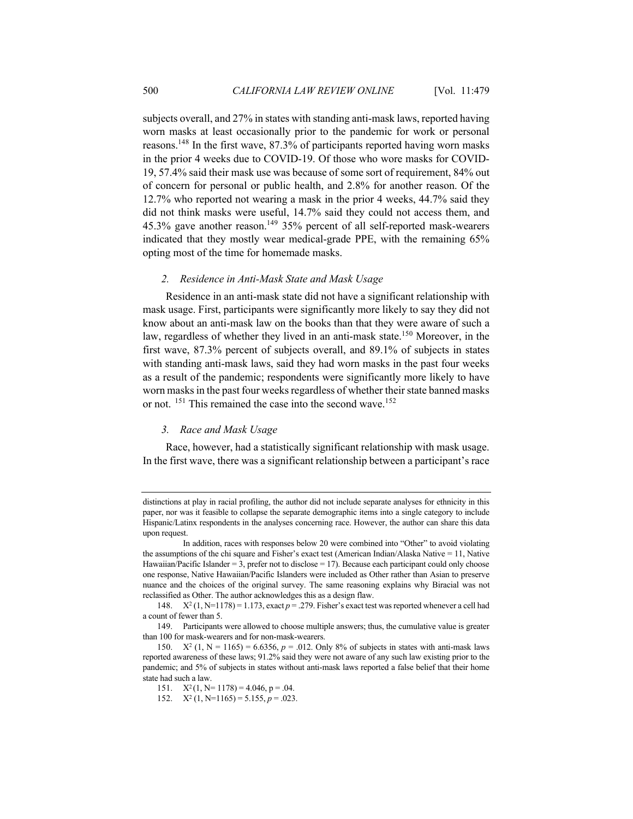subjects overall, and 27% in states with standing anti-mask laws, reported having worn masks at least occasionally prior to the pandemic for work or personal reasons.148 In the first wave, 87.3% of participants reported having worn masks in the prior 4 weeks due to COVID-19. Of those who wore masks for COVID-19, 57.4% said their mask use was because of some sort of requirement, 84% out of concern for personal or public health, and 2.8% for another reason. Of the 12.7% who reported not wearing a mask in the prior 4 weeks, 44.7% said they did not think masks were useful, 14.7% said they could not access them, and 45.3% gave another reason.<sup>149</sup> 35% percent of all self-reported mask-wearers indicated that they mostly wear medical-grade PPE, with the remaining 65% opting most of the time for homemade masks.

# *2. Residence in Anti-Mask State and Mask Usage*

Residence in an anti-mask state did not have a significant relationship with mask usage. First, participants were significantly more likely to say they did not know about an anti-mask law on the books than that they were aware of such a law, regardless of whether they lived in an anti-mask state.<sup>150</sup> Moreover, in the first wave, 87.3% percent of subjects overall, and 89.1% of subjects in states with standing anti-mask laws, said they had worn masks in the past four weeks as a result of the pandemic; respondents were significantly more likely to have worn masks in the past four weeks regardless of whether their state banned masks or not. <sup>151</sup> This remained the case into the second wave.<sup>152</sup>

#### *3. Race and Mask Usage*

Race, however, had a statistically significant relationship with mask usage. In the first wave, there was a significant relationship between a participant's race

distinctions at play in racial profiling, the author did not include separate analyses for ethnicity in this paper, nor was it feasible to collapse the separate demographic items into a single category to include Hispanic/Latinx respondents in the analyses concerning race. However, the author can share this data upon request.

In addition, races with responses below 20 were combined into "Other" to avoid violating the assumptions of the chi square and Fisher's exact test (American Indian/Alaska Native = 11, Native Hawaiian/Pacific Islander = 3, prefer not to disclose = 17). Because each participant could only choose one response, Native Hawaiian/Pacific Islanders were included as Other rather than Asian to preserve nuance and the choices of the original survey. The same reasoning explains why Biracial was not reclassified as Other. The author acknowledges this as a design flaw.

<sup>148.</sup>  $X^2(1, N=1178) = 1.173$ , exact  $p = .279$ . Fisher's exact test was reported whenever a cell had a count of fewer than 5.

<sup>149.</sup> Participants were allowed to choose multiple answers; thus, the cumulative value is greater than 100 for mask-wearers and for non-mask-wearers.

<sup>150.</sup>  $X^2$  (1, N = 1165) = 6.6356,  $p = .012$ . Only 8% of subjects in states with anti-mask laws reported awareness of these laws; 91.2% said they were not aware of any such law existing prior to the pandemic; and 5% of subjects in states without anti-mask laws reported a false belief that their home state had such a law.

<sup>151.</sup>  $X^2(1, N=1178) = 4.046$ , p = .04.

<sup>152.</sup>  $X^2$  (1, N=1165) = 5.155,  $p = .023$ .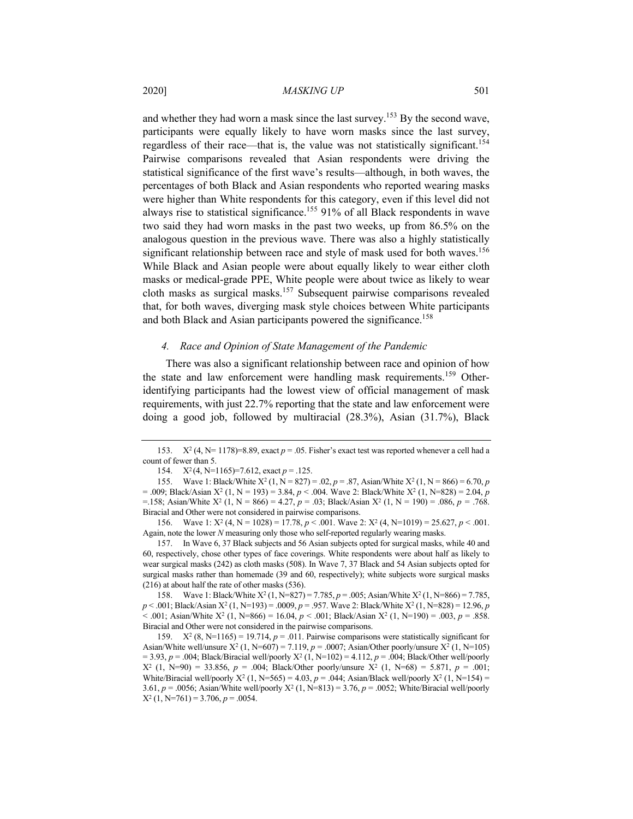and whether they had worn a mask since the last survey.153 By the second wave, participants were equally likely to have worn masks since the last survey, regardless of their race—that is, the value was not statistically significant.<sup>154</sup> Pairwise comparisons revealed that Asian respondents were driving the statistical significance of the first wave's results—although, in both waves, the percentages of both Black and Asian respondents who reported wearing masks were higher than White respondents for this category, even if this level did not always rise to statistical significance.155 91% of all Black respondents in wave two said they had worn masks in the past two weeks, up from 86.5% on the analogous question in the previous wave. There was also a highly statistically significant relationship between race and style of mask used for both waves.<sup>156</sup> While Black and Asian people were about equally likely to wear either cloth masks or medical-grade PPE, White people were about twice as likely to wear cloth masks as surgical masks.157 Subsequent pairwise comparisons revealed that, for both waves, diverging mask style choices between White participants and both Black and Asian participants powered the significance.<sup>158</sup>

#### *4. Race and Opinion of State Management of the Pandemic*

There was also a significant relationship between race and opinion of how the state and law enforcement were handling mask requirements.<sup>159</sup> Otheridentifying participants had the lowest view of official management of mask requirements, with just 22.7% reporting that the state and law enforcement were doing a good job, followed by multiracial (28.3%), Asian (31.7%), Black

154. X2 (4, N=1165)=7.612, exact *p* = .125.

155. Wave 1: Black/White  $X^2$  (1, N = 827) = .02, p = .87, Asian/White  $X^2$  (1, N = 866) = 6.70, p  $= 0.009$ ; Black/Asian X<sup>2</sup> (1, N = 193) = 3.84, *p* < .004. Wave 2: Black/White X<sup>2</sup> (1, N=828) = 2.04, *p*  $=$  158; Asian/White  $X^2$  (1, N = 866) = 4.27,  $p = .03$ ; Black/Asian  $X^2$  (1, N = 190) = .086,  $p = .768$ . Biracial and Other were not considered in pairwise comparisons.

156. Wave 1:  $X^2$  (4, N = 1028) = 17.78,  $p < .001$ . Wave 2:  $X^2$  (4, N=1019) = 25.627,  $p < .001$ . Again, note the lower *N* measuring only those who self-reported regularly wearing masks.

157. In Wave 6, 37 Black subjects and 56 Asian subjects opted for surgical masks, while 40 and 60, respectively, chose other types of face coverings. White respondents were about half as likely to wear surgical masks (242) as cloth masks (508). In Wave 7, 37 Black and 54 Asian subjects opted for surgical masks rather than homemade (39 and 60, respectively); white subjects wore surgical masks (216) at about half the rate of other masks (536).

158. Wave 1: Black/White X2 (1, N=827) = 7.785, *p* = .005; Asian/White X2 (1, N=866) = 7.785, *p* < .001; Black/Asian X<sup>2</sup> (1, N=193) = .0009, *p* = .957. Wave 2: Black/White X<sup>2</sup> (1, N=828) = 12.96, *p*  $< .001$ ; Asian/White X<sup>2</sup> (1, N=866) = 16.04, *p*  $< .001$ ; Black/Asian X<sup>2</sup> (1, N=190) = .003, *p* = .858. Biracial and Other were not considered in the pairwise comparisons.

159.  $X^2$  (8, N=1165) = 19.714,  $p = .011$ . Pairwise comparisons were statistically significant for Asian/White well/unsure  $X^2$  (1, N=607) = 7.119,  $p = .0007$ ; Asian/Other poorly/unsure  $X^2$  (1, N=105) = 3.93, *p* = .004; Black/Biracial well/poorly X2 (1, N=102) = 4.112, *p* = .004; Black/Other well/poorly  $X^2$  (1, N=90) = 33.856,  $p = .004$ ; Black/Other poorly/unsure  $X^2$  (1, N=68) = 5.871,  $p = .001$ ; White/Biracial well/poorly  $X^2$  (1, N=565) = 4.03,  $p = 0.044$ ; Asian/Black well/poorly  $X^2$  (1, N=154) = 3.61, *p* = .0056; Asian/White well/poorly X2 (1, N=813) = 3.76, *p* = .0052; White/Biracial well/poorly  $X^2$  (1, N=761) = 3.706,  $p = .0054$ .

<sup>153.</sup>  $X^2$  (4, N = 1178) = 8.89, exact  $p = .05$ . Fisher's exact test was reported whenever a cell had a count of fewer than 5.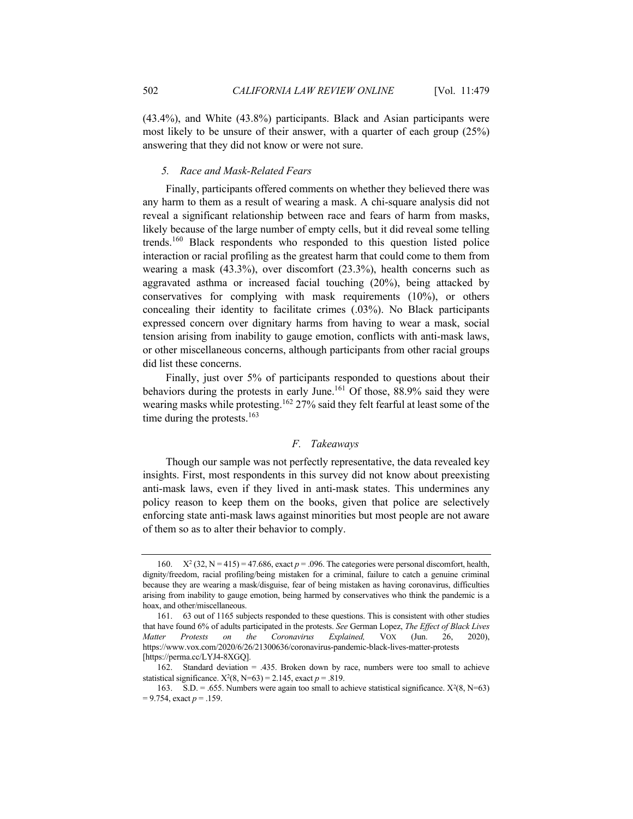(43.4%), and White (43.8%) participants. Black and Asian participants were most likely to be unsure of their answer, with a quarter of each group (25%) answering that they did not know or were not sure.

# *5. Race and Mask-Related Fears*

Finally, participants offered comments on whether they believed there was any harm to them as a result of wearing a mask. A chi-square analysis did not reveal a significant relationship between race and fears of harm from masks, likely because of the large number of empty cells, but it did reveal some telling trends.<sup>160</sup> Black respondents who responded to this question listed police interaction or racial profiling as the greatest harm that could come to them from wearing a mask (43.3%), over discomfort (23.3%), health concerns such as aggravated asthma or increased facial touching (20%), being attacked by conservatives for complying with mask requirements (10%), or others concealing their identity to facilitate crimes (.03%). No Black participants expressed concern over dignitary harms from having to wear a mask, social tension arising from inability to gauge emotion, conflicts with anti-mask laws, or other miscellaneous concerns, although participants from other racial groups did list these concerns.

Finally, just over 5% of participants responded to questions about their behaviors during the protests in early June.<sup>161</sup> Of those, 88.9% said they were wearing masks while protesting.<sup>162</sup> 27% said they felt fearful at least some of the time during the protests. $163$ 

# *F. Takeaways*

Though our sample was not perfectly representative, the data revealed key insights. First, most respondents in this survey did not know about preexisting anti-mask laws, even if they lived in anti-mask states. This undermines any policy reason to keep them on the books, given that police are selectively enforcing state anti-mask laws against minorities but most people are not aware of them so as to alter their behavior to comply.

<sup>160.</sup>  $X^2$  (32, N = 415) = 47.686, exact  $p = .096$ . The categories were personal discomfort, health, dignity/freedom, racial profiling/being mistaken for a criminal, failure to catch a genuine criminal because they are wearing a mask/disguise, fear of being mistaken as having coronavirus, difficulties arising from inability to gauge emotion, being harmed by conservatives who think the pandemic is a hoax, and other/miscellaneous.

<sup>161.</sup> 63 out of 1165 subjects responded to these questions. This is consistent with other studies that have found 6% of adults participated in the protests. *See* German Lopez, *The Effect of Black Lives Matter Protests on the Coronavirus Explained,* VOX (Jun. 26, 2020), https://www.vox.com/2020/6/26/21300636/coronavirus-pandemic-black-lives-matter-protests [https://perma.cc/LYJ4-8XGQ].

<sup>162.</sup> Standard deviation = .435. Broken down by race, numbers were too small to achieve statistical significance.  $X^2(8, N=63) = 2.145$ , exact  $p = .819$ .

<sup>163.</sup> S.D. = .655. Numbers were again too small to achieve statistical significance.  $X^2(8, N=63)$ = 9.754, exact *p* = .159.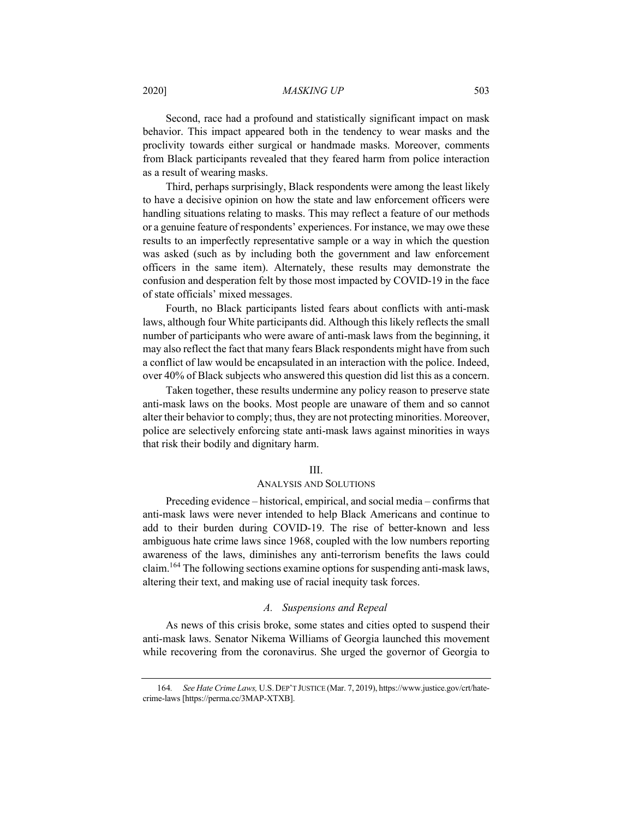Second, race had a profound and statistically significant impact on mask behavior. This impact appeared both in the tendency to wear masks and the proclivity towards either surgical or handmade masks. Moreover, comments from Black participants revealed that they feared harm from police interaction as a result of wearing masks.

Third, perhaps surprisingly, Black respondents were among the least likely to have a decisive opinion on how the state and law enforcement officers were handling situations relating to masks. This may reflect a feature of our methods or a genuine feature of respondents' experiences. For instance, we may owe these results to an imperfectly representative sample or a way in which the question was asked (such as by including both the government and law enforcement officers in the same item). Alternately, these results may demonstrate the confusion and desperation felt by those most impacted by COVID-19 in the face of state officials' mixed messages.

Fourth, no Black participants listed fears about conflicts with anti-mask laws, although four White participants did. Although this likely reflects the small number of participants who were aware of anti-mask laws from the beginning, it may also reflect the fact that many fears Black respondents might have from such a conflict of law would be encapsulated in an interaction with the police. Indeed, over 40% of Black subjects who answered this question did list this as a concern.

Taken together, these results undermine any policy reason to preserve state anti-mask laws on the books. Most people are unaware of them and so cannot alter their behavior to comply; thus, they are not protecting minorities. Moreover, police are selectively enforcing state anti-mask laws against minorities in ways that risk their bodily and dignitary harm.

#### III.

# ANALYSIS AND SOLUTIONS

Preceding evidence – historical, empirical, and social media – confirms that anti-mask laws were never intended to help Black Americans and continue to add to their burden during COVID-19. The rise of better-known and less ambiguous hate crime laws since 1968, coupled with the low numbers reporting awareness of the laws, diminishes any anti-terrorism benefits the laws could claim.164 The following sections examine options for suspending anti-mask laws, altering their text, and making use of racial inequity task forces.

# *A. Suspensions and Repeal*

As news of this crisis broke, some states and cities opted to suspend their anti-mask laws. Senator Nikema Williams of Georgia launched this movement while recovering from the coronavirus. She urged the governor of Georgia to

<sup>164</sup>*. See Hate Crime Laws,* U.S.DEP'T JUSTICE (Mar. 7, 2019), https://www.justice.gov/crt/hatecrime-laws [https://perma.cc/3MAP-XTXB].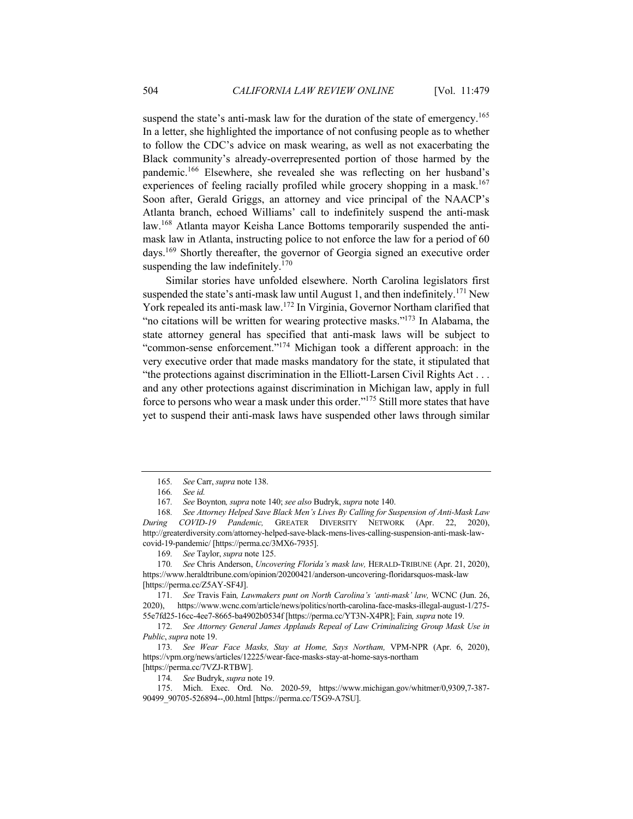suspend the state's anti-mask law for the duration of the state of emergency.<sup>165</sup> In a letter, she highlighted the importance of not confusing people as to whether to follow the CDC's advice on mask wearing, as well as not exacerbating the Black community's already-overrepresented portion of those harmed by the pandemic.166 Elsewhere, she revealed she was reflecting on her husband's experiences of feeling racially profiled while grocery shopping in a mask.<sup>167</sup> Soon after, Gerald Griggs, an attorney and vice principal of the NAACP's Atlanta branch, echoed Williams' call to indefinitely suspend the anti-mask law.168 Atlanta mayor Keisha Lance Bottoms temporarily suspended the antimask law in Atlanta, instructing police to not enforce the law for a period of 60 days.169 Shortly thereafter, the governor of Georgia signed an executive order suspending the law indefinitely. $170$ 

Similar stories have unfolded elsewhere. North Carolina legislators first suspended the state's anti-mask law until August 1, and then indefinitely.<sup>171</sup> New York repealed its anti-mask law.<sup>172</sup> In Virginia, Governor Northam clarified that "no citations will be written for wearing protective masks."<sup>173</sup> In Alabama, the state attorney general has specified that anti-mask laws will be subject to "common-sense enforcement."174 Michigan took a different approach: in the very executive order that made masks mandatory for the state, it stipulated that "the protections against discrimination in the Elliott-Larsen Civil Rights Act . . . and any other protections against discrimination in Michigan law, apply in full force to persons who wear a mask under this order."175 Still more states that have yet to suspend their anti-mask laws have suspended other laws through similar

174*. See* Budryk, *supra* note 19.

<sup>165</sup>*. See* Carr, *supra* note 138.

<sup>166</sup>*. See id.*

<sup>167</sup>*. See* Boynton*, supra* note 140; *see also* Budryk, *supra* note 140.

<sup>168</sup>*. See Attorney Helped Save Black Men's Lives By Calling for Suspension of Anti-Mask Law During COVID-19 Pandemic,* GREATER DIVERSITY NETWORK (Apr. 22, 2020), http://greaterdiversity.com/attorney-helped-save-black-mens-lives-calling-suspension-anti-mask-lawcovid-19-pandemic/ [https://perma.cc/3MX6-7935].

<sup>169</sup>*. See* Taylor, *supra* note 125.

<sup>170</sup>*. See* Chris Anderson, *Uncovering Florida's mask law,* HERALD-TRIBUNE (Apr. 21, 2020), https://www.heraldtribune.com/opinion/20200421/anderson-uncovering-floridarsquos-mask-law [https://perma.cc/Z5AY-SF4J].

<sup>171</sup>*. See* Travis Fain*, Lawmakers punt on North Carolina's 'anti-mask' law,* WCNC (Jun. 26, 2020), https://www.wcnc.com/article/news/politics/north-carolina-face-masks-illegal-august-1/275- 55e7fd25-16cc-4ee7-8665-ba4902b0534f [https://perma.cc/YT3N-X4PR]; Fain*, supra* note 19.

<sup>172</sup>*. See Attorney General James Applauds Repeal of Law Criminalizing Group Mask Use in Public*, *supra* note 19.

<sup>173</sup>*. See Wear Face Masks, Stay at Home, Says Northam,* VPM-NPR (Apr. 6, 2020), https://vpm.org/news/articles/12225/wear-face-masks-stay-at-home-says-northam [https://perma.cc/7VZJ-RTBW].

<sup>175.</sup> Mich. Exec. Ord. No. 2020-59, https://www.michigan.gov/whitmer/0,9309,7-387- 90499\_90705-526894--,00.html [https://perma.cc/T5G9-A7SU].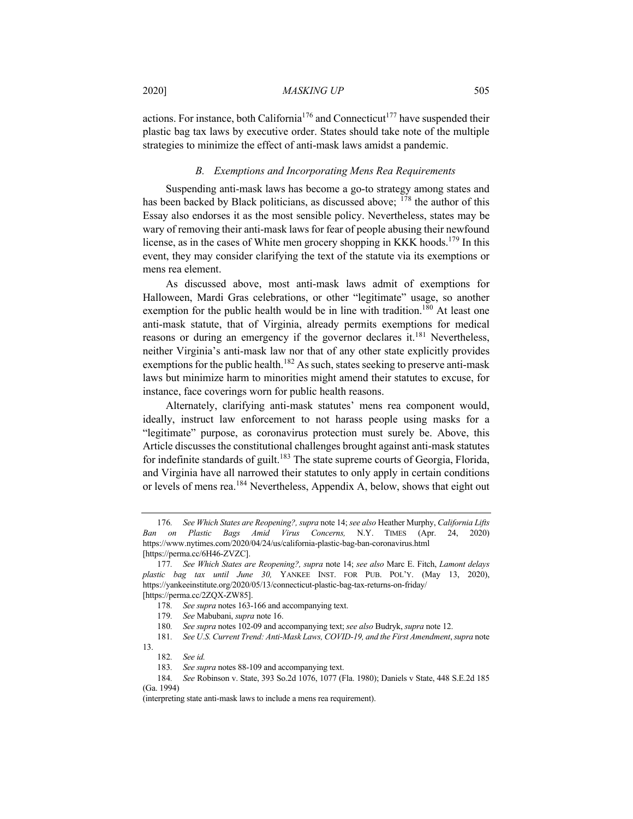actions. For instance, both California<sup>176</sup> and Connecticut<sup>177</sup> have suspended their plastic bag tax laws by executive order. States should take note of the multiple strategies to minimize the effect of anti-mask laws amidst a pandemic.

# *B. Exemptions and Incorporating Mens Rea Requirements*

Suspending anti-mask laws has become a go-to strategy among states and has been backed by Black politicians, as discussed above; <sup>178</sup> the author of this Essay also endorses it as the most sensible policy. Nevertheless, states may be wary of removing their anti-mask laws for fear of people abusing their newfound license, as in the cases of White men grocery shopping in KKK hoods.<sup>179</sup> In this event, they may consider clarifying the text of the statute via its exemptions or mens rea element.

As discussed above, most anti-mask laws admit of exemptions for Halloween, Mardi Gras celebrations, or other "legitimate" usage, so another exemption for the public health would be in line with tradition.<sup>180</sup> At least one anti-mask statute, that of Virginia, already permits exemptions for medical reasons or during an emergency if the governor declares it.<sup>181</sup> Nevertheless, neither Virginia's anti-mask law nor that of any other state explicitly provides exemptions for the public health.<sup>182</sup> As such, states seeking to preserve anti-mask laws but minimize harm to minorities might amend their statutes to excuse, for instance, face coverings worn for public health reasons.

Alternately, clarifying anti-mask statutes' mens rea component would, ideally, instruct law enforcement to not harass people using masks for a "legitimate" purpose, as coronavirus protection must surely be. Above, this Article discusses the constitutional challenges brought against anti-mask statutes for indefinite standards of guilt.<sup>183</sup> The state supreme courts of Georgia, Florida, and Virginia have all narrowed their statutes to only apply in certain conditions or levels of mens rea.<sup>184</sup> Nevertheless, Appendix A, below, shows that eight out

<sup>176</sup>*. See Which States are Reopening?, supra* note 14; *see also* Heather Murphy, *California Lifts Ban on Plastic Bags Amid Virus Concerns,* N.Y. TIMES (Apr. 24, 2020) https://www.nytimes.com/2020/04/24/us/california-plastic-bag-ban-coronavirus.html [https://perma.cc/6H46-ZVZC].

<sup>177</sup>*. See Which States are Reopening?, supra* note 14; *see also* Marc E. Fitch, *Lamont delays plastic bag tax until June 30,* YANKEE INST. FOR PUB. POL'Y. (May 13, 2020), https://yankeeinstitute.org/2020/05/13/connecticut-plastic-bag-tax-returns-on-friday/

<sup>[</sup>https://perma.cc/2ZQX-ZW85].

<sup>178</sup>*. See supra* notes 163-166 and accompanying text.

<sup>179</sup>*. See* Mabubani, *supra* note 16.

<sup>180</sup>*. See supra* notes 102-09 and accompanying text; *see also* Budryk, *supra* note 12.

<sup>181</sup>*. See U.S. Current Trend: Anti-Mask Laws, COVID-19, and the First Amendment*, *supra* note 13.

<sup>182</sup>*. See id.*

<sup>183</sup>*. See supra* notes 88-109 and accompanying text.

<sup>184</sup>*. See* Robinson v. State, 393 So.2d 1076, 1077 (Fla. 1980); Daniels v State, 448 S.E.2d 185 (Ga. 1994)

<sup>(</sup>interpreting state anti-mask laws to include a mens rea requirement).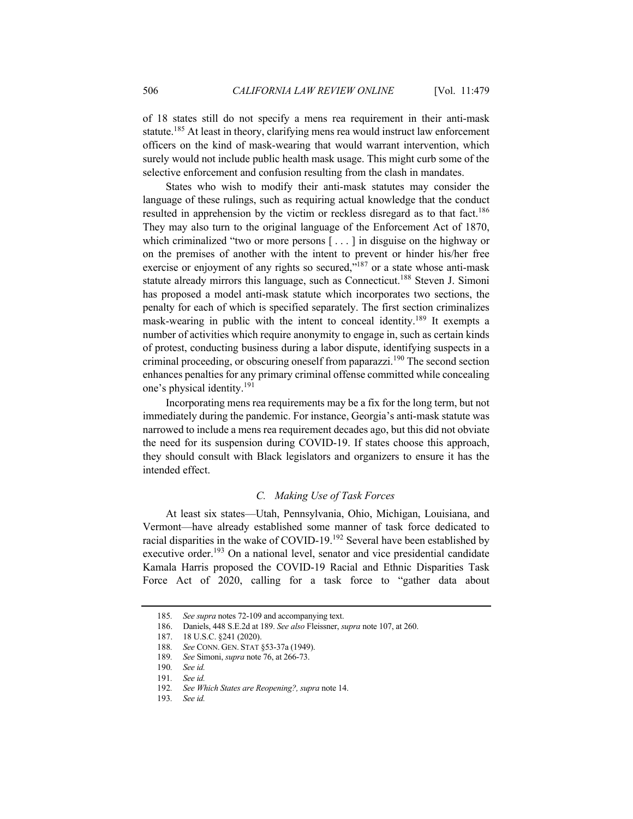of 18 states still do not specify a mens rea requirement in their anti-mask statute.<sup>185</sup> At least in theory, clarifying mens rea would instruct law enforcement officers on the kind of mask-wearing that would warrant intervention, which surely would not include public health mask usage. This might curb some of the selective enforcement and confusion resulting from the clash in mandates.

States who wish to modify their anti-mask statutes may consider the language of these rulings, such as requiring actual knowledge that the conduct resulted in apprehension by the victim or reckless disregard as to that fact.<sup>186</sup> They may also turn to the original language of the Enforcement Act of 1870, which criminalized "two or more persons [ . . . ] in disguise on the highway or on the premises of another with the intent to prevent or hinder his/her free exercise or enjoyment of any rights so secured,  $\dot{m}^{187}$  or a state whose anti-mask statute already mirrors this language, such as Connecticut.<sup>188</sup> Steven J. Simoni has proposed a model anti-mask statute which incorporates two sections, the penalty for each of which is specified separately. The first section criminalizes mask-wearing in public with the intent to conceal identity.<sup>189</sup> It exempts a number of activities which require anonymity to engage in, such as certain kinds of protest, conducting business during a labor dispute, identifying suspects in a criminal proceeding, or obscuring oneself from paparazzi.<sup>190</sup> The second section enhances penalties for any primary criminal offense committed while concealing one's physical identity.191

Incorporating mens rea requirements may be a fix for the long term, but not immediately during the pandemic. For instance, Georgia's anti-mask statute was narrowed to include a mens rea requirement decades ago, but this did not obviate the need for its suspension during COVID-19. If states choose this approach, they should consult with Black legislators and organizers to ensure it has the intended effect.

# *C. Making Use of Task Forces*

At least six states—Utah, Pennsylvania, Ohio, Michigan, Louisiana, and Vermont—have already established some manner of task force dedicated to racial disparities in the wake of COVID-19.<sup>192</sup> Several have been established by executive order.<sup>193</sup> On a national level, senator and vice presidential candidate Kamala Harris proposed the COVID-19 Racial and Ethnic Disparities Task Force Act of 2020, calling for a task force to "gather data about

<sup>185</sup>*. See supra* notes 72-109 and accompanying text.

<sup>186.</sup> Daniels, 448 S.E.2d at 189. *See also* Fleissner, *supra* note 107, at 260.

<sup>187.</sup> 18 U.S.C. §241 (2020).

<sup>188</sup>*. See* CONN. GEN. STAT §53-37a (1949).

<sup>189</sup>*. See* Simoni, *supra* note 76, at 266-73.

<sup>190</sup>*. See id.*

<sup>191</sup>*. See id.*

<sup>192</sup>*. See Which States are Reopening?, supra* note 14.

<sup>193</sup>*. See id.*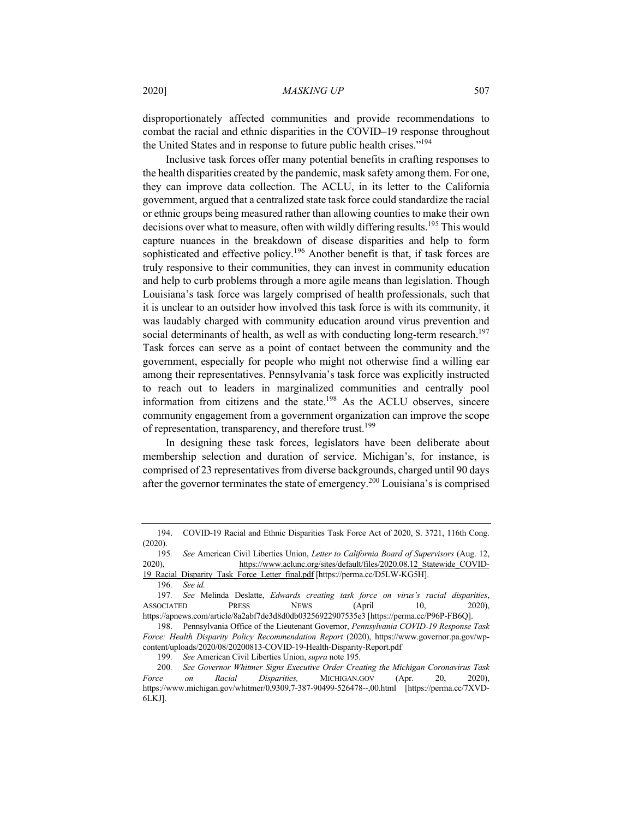disproportionately affected communities and provide recommendations to combat the racial and ethnic disparities in the COVID–19 response throughout the United States and in response to future public health crises."<sup>194</sup>

Inclusive task forces offer many potential benefits in crafting responses to the health disparities created by the pandemic, mask safety among them. For one, they can improve data collection. The ACLU, in its letter to the California government, argued that a centralized state task force could standardize the racial or ethnic groups being measured rather than allowing counties to make their own decisions over what to measure, often with wildly differing results.<sup>195</sup> This would capture nuances in the breakdown of disease disparities and help to form sophisticated and effective policy.<sup>196</sup> Another benefit is that, if task forces are truly responsive to their communities, they can invest in community education and help to curb problems through a more agile means than legislation. Though Louisiana's task force was largely comprised of health professionals, such that it is unclear to an outsider how involved this task force is with its community, it was laudably charged with community education around virus prevention and social determinants of health, as well as with conducting long-term research.<sup>197</sup> Task forces can serve as a point of contact between the community and the government, especially for people who might not otherwise find a willing ear among their representatives. Pennsylvania's task force was explicitly instructed to reach out to leaders in marginalized communities and centrally pool information from citizens and the state.198 As the ACLU observes, sincere community engagement from a government organization can improve the scope of representation, transparency, and therefore trust.<sup>199</sup>

In designing these task forces, legislators have been deliberate about membership selection and duration of service. Michigan's, for instance, is comprised of 23 representatives from diverse backgrounds, charged until 90 days after the governor terminates the state of emergency.<sup>200</sup> Louisiana's is comprised

<sup>194.</sup> COVID-19 Racial and Ethnic Disparities Task Force Act of 2020, S. 3721, 116th Cong. (2020).

<sup>195</sup>*. See* American Civil Liberties Union, *Letter to California Board of Supervisors* (Aug. 12, 2020), https://www.aclunc.org/sites/default/files/2020.08.12 Statewide COVID-19\_Racial\_Disparity\_Task\_Force\_Letter\_final.pdf [https://perma.cc/D5LW-KG5H].

<sup>196</sup>*. See id.*

<sup>197</sup>*. See* Melinda Deslatte, *Edwards creating task force on virus's racial disparities*, ASSOCIATED PRESS NEWS (April 10, 2020), https://apnews.com/article/8a2abf7de3d8d0db03256922907535e3 [https://perma.cc/P96P-FB6Q].

<sup>198.</sup> Pennsylvania Office of the Lieutenant Governor, *Pennsylvania COVID-19 Response Task Force: Health Disparity Policy Recommendation Report* (2020), https://www.governor.pa.gov/wpcontent/uploads/2020/08/20200813-COVID-19-Health-Disparity-Report.pdf

<sup>199</sup>*. See* American Civil Liberties Union, *supra* note 195.

<sup>200</sup>*. See Governor Whitmer Signs Executive Order Creating the Michigan Coronavirus Task Force on Racial Disparities,* MICHIGAN.GOV (Apr. 20, 2020), https://www.michigan.gov/whitmer/0,9309,7-387-90499-526478--,00.html [https://perma.cc/7XVD-6LKJ].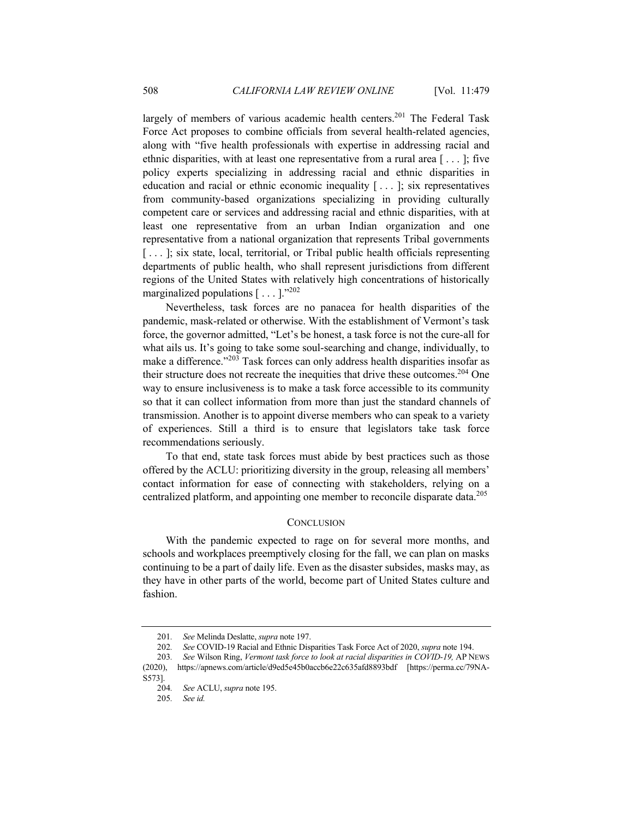largely of members of various academic health centers.<sup>201</sup> The Federal Task Force Act proposes to combine officials from several health-related agencies, along with "five health professionals with expertise in addressing racial and ethnic disparities, with at least one representative from a rural area  $[\dots]$ ; five policy experts specializing in addressing racial and ethnic disparities in education and racial or ethnic economic inequality  $[\ldots]$ ; six representatives from community-based organizations specializing in providing culturally competent care or services and addressing racial and ethnic disparities, with at least one representative from an urban Indian organization and one representative from a national organization that represents Tribal governments [...]; six state, local, territorial, or Tribal public health officials representing departments of public health, who shall represent jurisdictions from different regions of the United States with relatively high concentrations of historically marginalized populations  $[\dots]$ ."<sup>202</sup>

Nevertheless, task forces are no panacea for health disparities of the pandemic, mask-related or otherwise. With the establishment of Vermont's task force, the governor admitted, "Let's be honest, a task force is not the cure-all for what ails us. It's going to take some soul-searching and change, individually, to make a difference."<sup>203</sup> Task forces can only address health disparities insofar as their structure does not recreate the inequities that drive these outcomes.<sup>204</sup> One way to ensure inclusiveness is to make a task force accessible to its community so that it can collect information from more than just the standard channels of transmission. Another is to appoint diverse members who can speak to a variety of experiences. Still a third is to ensure that legislators take task force recommendations seriously.

To that end, state task forces must abide by best practices such as those offered by the ACLU: prioritizing diversity in the group, releasing all members' contact information for ease of connecting with stakeholders, relying on a centralized platform, and appointing one member to reconcile disparate data.<sup>205</sup>

### **CONCLUSION**

With the pandemic expected to rage on for several more months, and schools and workplaces preemptively closing for the fall, we can plan on masks continuing to be a part of daily life. Even as the disaster subsides, masks may, as they have in other parts of the world, become part of United States culture and fashion.

<sup>201</sup>*. See* Melinda Deslatte, *supra* note 197.

<sup>202</sup>*. See* COVID-19 Racial and Ethnic Disparities Task Force Act of 2020, *supra* note 194.

<sup>203</sup>*. See* Wilson Ring, *Vermont task force to look at racial disparities in COVID-19,* AP NEWS (2020), https://apnews.com/article/d9ed5e45b0accb6e22c635afd8893bdf [https://perma.cc/79NA-S573].<br>204.

<sup>204</sup>*. See* ACLU, *supra* note 195.

<sup>205</sup>*. See id.*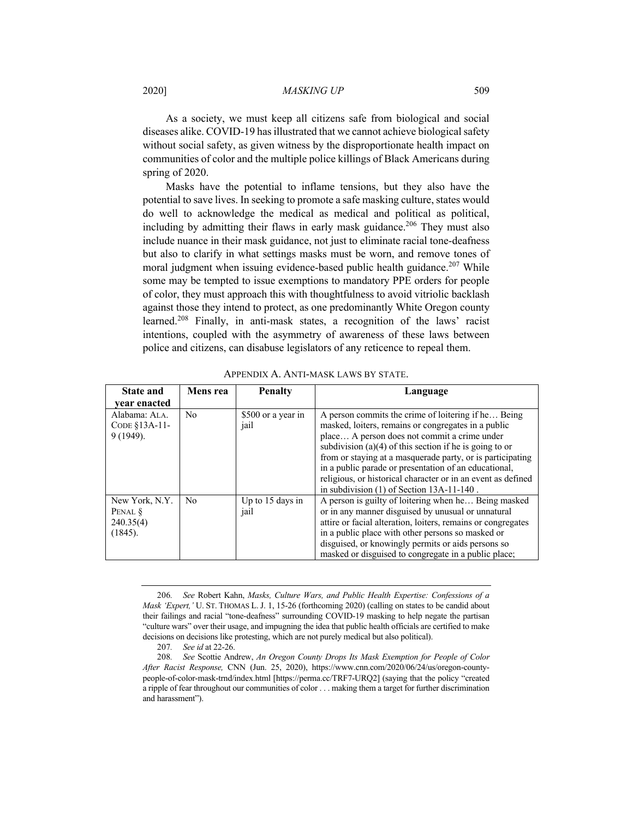As a society, we must keep all citizens safe from biological and social diseases alike. COVID-19 has illustrated that we cannot achieve biological safety without social safety, as given witness by the disproportionate health impact on communities of color and the multiple police killings of Black Americans during spring of 2020.

Masks have the potential to inflame tensions, but they also have the potential to save lives. In seeking to promote a safe masking culture, states would do well to acknowledge the medical as medical and political as political, including by admitting their flaws in early mask guidance.<sup>206</sup> They must also include nuance in their mask guidance, not just to eliminate racial tone-deafness but also to clarify in what settings masks must be worn, and remove tones of moral judgment when issuing evidence-based public health guidance.<sup>207</sup> While some may be tempted to issue exemptions to mandatory PPE orders for people of color, they must approach this with thoughtfulness to avoid vitriolic backlash against those they intend to protect, as one predominantly White Oregon county learned.<sup>208</sup> Finally, in anti-mask states, a recognition of the laws' racist intentions, coupled with the asymmetry of awareness of these laws between police and citizens, can disabuse legislators of any reticence to repeal them.

| <b>State and</b>                                  | Mens rea       | <b>Penalty</b>             | Language                                                                                                                                                                                                                                                                                                                                                                                                                                                      |
|---------------------------------------------------|----------------|----------------------------|---------------------------------------------------------------------------------------------------------------------------------------------------------------------------------------------------------------------------------------------------------------------------------------------------------------------------------------------------------------------------------------------------------------------------------------------------------------|
| vear enacted                                      |                |                            |                                                                                                                                                                                                                                                                                                                                                                                                                                                               |
| Alabama: ALA.<br>CODE $$13A-11$ -<br>9 (1949).    | No             | \$500 or a year in<br>jail | A person commits the crime of loitering if he Being<br>masked, loiters, remains or congregates in a public<br>place A person does not commit a crime under<br>subdivision $(a)(4)$ of this section if he is going to or<br>from or staying at a masquerade party, or is participating<br>in a public parade or presentation of an educational,<br>religious, or historical character or in an event as defined<br>in subdivision $(1)$ of Section 13A-11-140. |
| New York, N.Y.<br>PENAL §<br>240.35(4)<br>(1845). | N <sub>o</sub> | Up to $15$ days in<br>jail | A person is guilty of loitering when he Being masked<br>or in any manner disguised by unusual or unnatural<br>attire or facial alteration, loiters, remains or congregates<br>in a public place with other persons so masked or<br>disguised, or knowingly permits or aids persons so<br>masked or disguised to congregate in a public place;                                                                                                                 |

APPENDIX A. ANTI-MASK LAWS BY STATE.

<sup>206</sup>*. See* Robert Kahn, *Masks, Culture Wars, and Public Health Expertise: Confessions of a Mask 'Expert,'* U. ST. THOMAS L. J. 1, 15-26 (forthcoming 2020) (calling on states to be candid about their failings and racial "tone-deafness" surrounding COVID-19 masking to help negate the partisan "culture wars" over their usage, and impugning the idea that public health officials are certified to make decisions on decisions like protesting, which are not purely medical but also political).

<sup>207</sup>*. See id* at 22-26.

<sup>208</sup>*. See* Scottie Andrew, *An Oregon County Drops Its Mask Exemption for People of Color After Racist Response,* CNN (Jun. 25, 2020), https://www.cnn.com/2020/06/24/us/oregon-countypeople-of-color-mask-trnd/index.html [https://perma.cc/TRF7-URQ2] (saying that the policy "created a ripple of fear throughout our communities of color . . . making them a target for further discrimination and harassment").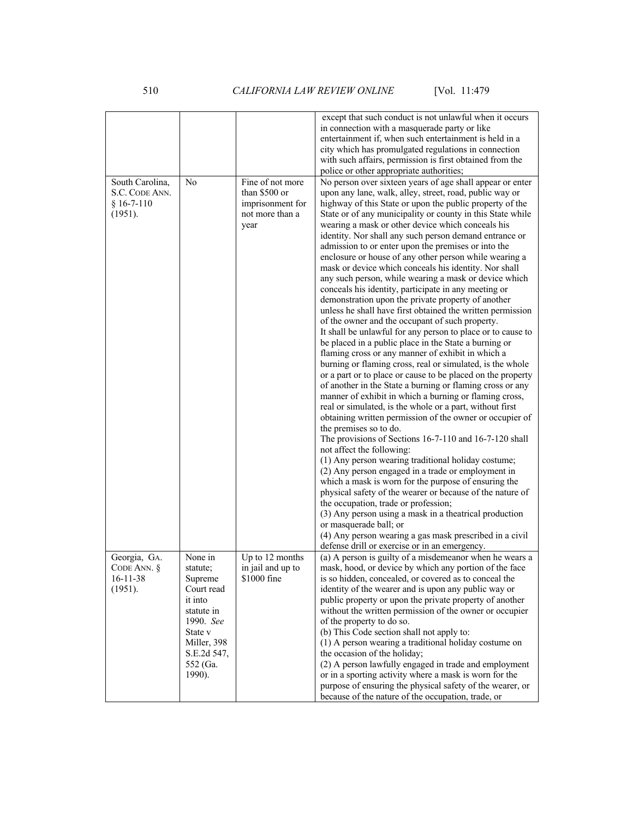|                                                              |                                                                                                                                                   |                                                                                  | except that such conduct is not unlawful when it occurs<br>in connection with a masquerade party or like<br>entertainment if, when such entertainment is held in a<br>city which has promulgated regulations in connection<br>with such affairs, permission is first obtained from the                                                                                                                                                                                                                                                                                                                                                                                                                                                                                                                                                                                                                                                                                                                                                                                                                                                                                                                                                                                                                                                                                                                                                                                                                                                                                                                                                                                                                                                                                                 |
|--------------------------------------------------------------|---------------------------------------------------------------------------------------------------------------------------------------------------|----------------------------------------------------------------------------------|----------------------------------------------------------------------------------------------------------------------------------------------------------------------------------------------------------------------------------------------------------------------------------------------------------------------------------------------------------------------------------------------------------------------------------------------------------------------------------------------------------------------------------------------------------------------------------------------------------------------------------------------------------------------------------------------------------------------------------------------------------------------------------------------------------------------------------------------------------------------------------------------------------------------------------------------------------------------------------------------------------------------------------------------------------------------------------------------------------------------------------------------------------------------------------------------------------------------------------------------------------------------------------------------------------------------------------------------------------------------------------------------------------------------------------------------------------------------------------------------------------------------------------------------------------------------------------------------------------------------------------------------------------------------------------------------------------------------------------------------------------------------------------------|
| South Carolina,<br>S.C. CODE ANN.<br>$§ 16-7-110$<br>(1951). | No                                                                                                                                                | Fine of not more<br>than \$500 or<br>imprisonment for<br>not more than a<br>year | police or other appropriate authorities;<br>No person over sixteen years of age shall appear or enter<br>upon any lane, walk, alley, street, road, public way or<br>highway of this State or upon the public property of the<br>State or of any municipality or county in this State while<br>wearing a mask or other device which conceals his<br>identity. Nor shall any such person demand entrance or<br>admission to or enter upon the premises or into the<br>enclosure or house of any other person while wearing a<br>mask or device which conceals his identity. Nor shall<br>any such person, while wearing a mask or device which<br>conceals his identity, participate in any meeting or<br>demonstration upon the private property of another<br>unless he shall have first obtained the written permission<br>of the owner and the occupant of such property.<br>It shall be unlawful for any person to place or to cause to<br>be placed in a public place in the State a burning or<br>flaming cross or any manner of exhibit in which a<br>burning or flaming cross, real or simulated, is the whole<br>or a part or to place or cause to be placed on the property<br>of another in the State a burning or flaming cross or any<br>manner of exhibit in which a burning or flaming cross,<br>real or simulated, is the whole or a part, without first<br>obtaining written permission of the owner or occupier of<br>the premises so to do.<br>The provisions of Sections 16-7-110 and 16-7-120 shall<br>not affect the following:<br>(1) Any person wearing traditional holiday costume;<br>(2) Any person engaged in a trade or employment in<br>which a mask is worn for the purpose of ensuring the<br>physical safety of the wearer or because of the nature of |
|                                                              |                                                                                                                                                   |                                                                                  | the occupation, trade or profession;<br>(3) Any person using a mask in a theatrical production<br>or masquerade ball; or<br>(4) Any person wearing a gas mask prescribed in a civil<br>defense drill or exercise or in an emergency.                                                                                                                                                                                                                                                                                                                                                                                                                                                                                                                                                                                                                                                                                                                                                                                                                                                                                                                                                                                                                                                                                                                                                                                                                                                                                                                                                                                                                                                                                                                                                   |
| Georgia, GA.<br>CODE ANN. $\S$<br>16-11-38<br>(1951).        | None in<br>statute;<br>Supreme<br>Court read<br>it into<br>statute in<br>1990. See<br>State v<br>Miller, 398<br>S.E.2d 547,<br>552 (Ga.<br>1990). | Up to 12 months<br>in jail and up to<br>\$1000 fine                              | (a) A person is guilty of a misdemeanor when he wears a<br>mask, hood, or device by which any portion of the face<br>is so hidden, concealed, or covered as to conceal the<br>identity of the wearer and is upon any public way or<br>public property or upon the private property of another<br>without the written permission of the owner or occupier<br>of the property to do so.<br>(b) This Code section shall not apply to:<br>(1) A person wearing a traditional holiday costume on<br>the occasion of the holiday;<br>(2) A person lawfully engaged in trade and employment<br>or in a sporting activity where a mask is worn for the<br>purpose of ensuring the physical safety of the wearer, or<br>because of the nature of the occupation, trade, or                                                                                                                                                                                                                                                                                                                                                                                                                                                                                                                                                                                                                                                                                                                                                                                                                                                                                                                                                                                                                      |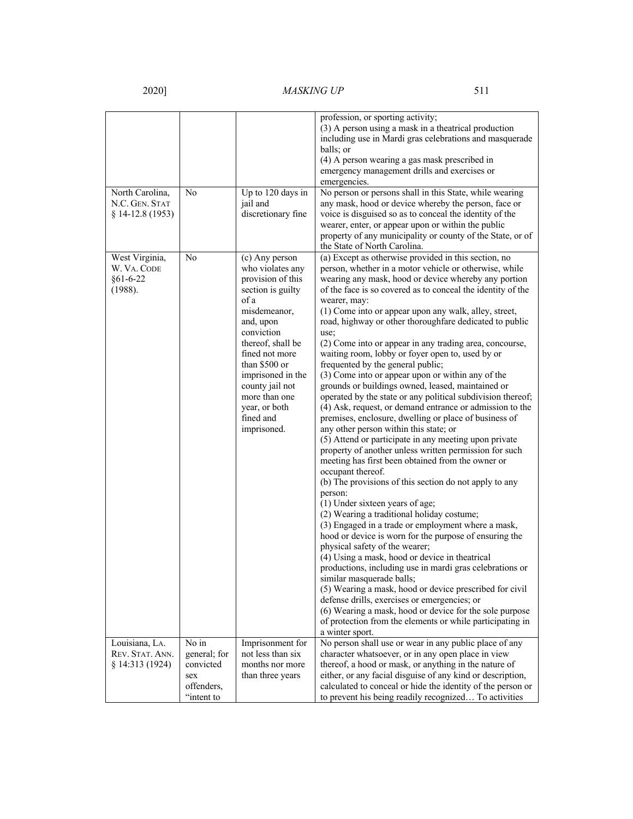"intent to

|                                                            |                                                         |                                                                                                                                                                                                                                                                                               | profession, or sporting activity;<br>(3) A person using a mask in a theatrical production<br>including use in Mardi gras celebrations and masquerade<br>balls; or<br>(4) A person wearing a gas mask prescribed in<br>emergency management drills and exercises or<br>emergencies.                                                                                                                                                                                                                                                                                                                                                                                                                                                                                                                                                                                                                                                                                                                                                                                                                                                                                                                                                                                                                                                                                                                                                                                                                                                                                                                                                                                                                                                                               |
|------------------------------------------------------------|---------------------------------------------------------|-----------------------------------------------------------------------------------------------------------------------------------------------------------------------------------------------------------------------------------------------------------------------------------------------|------------------------------------------------------------------------------------------------------------------------------------------------------------------------------------------------------------------------------------------------------------------------------------------------------------------------------------------------------------------------------------------------------------------------------------------------------------------------------------------------------------------------------------------------------------------------------------------------------------------------------------------------------------------------------------------------------------------------------------------------------------------------------------------------------------------------------------------------------------------------------------------------------------------------------------------------------------------------------------------------------------------------------------------------------------------------------------------------------------------------------------------------------------------------------------------------------------------------------------------------------------------------------------------------------------------------------------------------------------------------------------------------------------------------------------------------------------------------------------------------------------------------------------------------------------------------------------------------------------------------------------------------------------------------------------------------------------------------------------------------------------------|
| North Carolina,<br>N.C. GEN. STAT<br>§ 14-12.8 (1953)      | No                                                      | Up to 120 days in<br>jail and<br>discretionary fine                                                                                                                                                                                                                                           | No person or persons shall in this State, while wearing<br>any mask, hood or device whereby the person, face or<br>voice is disguised so as to conceal the identity of the<br>wearer, enter, or appear upon or within the public<br>property of any municipality or county of the State, or of<br>the State of North Carolina.                                                                                                                                                                                                                                                                                                                                                                                                                                                                                                                                                                                                                                                                                                                                                                                                                                                                                                                                                                                                                                                                                                                                                                                                                                                                                                                                                                                                                                   |
| West Virginia,<br>W. Va. Code<br>$§61 - 6 - 22$<br>(1988). | No                                                      | (c) Any person<br>who violates any<br>provision of this<br>section is guilty<br>of a<br>misdemeanor,<br>and, upon<br>conviction<br>thereof, shall be<br>fined not more<br>than \$500 or<br>imprisoned in the<br>county jail not<br>more than one<br>year, or both<br>fined and<br>imprisoned. | (a) Except as otherwise provided in this section, no<br>person, whether in a motor vehicle or otherwise, while<br>wearing any mask, hood or device whereby any portion<br>of the face is so covered as to conceal the identity of the<br>wearer, may:<br>(1) Come into or appear upon any walk, alley, street,<br>road, highway or other thoroughfare dedicated to public<br>use;<br>(2) Come into or appear in any trading area, concourse,<br>waiting room, lobby or foyer open to, used by or<br>frequented by the general public;<br>(3) Come into or appear upon or within any of the<br>grounds or buildings owned, leased, maintained or<br>operated by the state or any political subdivision thereof;<br>(4) Ask, request, or demand entrance or admission to the<br>premises, enclosure, dwelling or place of business of<br>any other person within this state; or<br>(5) Attend or participate in any meeting upon private<br>property of another unless written permission for such<br>meeting has first been obtained from the owner or<br>occupant thereof.<br>(b) The provisions of this section do not apply to any<br>person:<br>(1) Under sixteen years of age;<br>(2) Wearing a traditional holiday costume;<br>(3) Engaged in a trade or employment where a mask,<br>hood or device is worn for the purpose of ensuring the<br>physical safety of the wearer;<br>(4) Using a mask, hood or device in theatrical<br>productions, including use in mardi gras celebrations or<br>similar masquerade balls;<br>(5) Wearing a mask, hood or device prescribed for civil<br>defense drills, exercises or emergencies; or<br>(6) Wearing a mask, hood or device for the sole purpose<br>of protection from the elements or while participating in |
| Louisiana, LA.<br>REV. STAT. ANN.<br>§ 14:313 (1924)       | No in<br>general; for<br>convicted<br>sex<br>offenders, | Imprisonment for<br>not less than six<br>months nor more<br>than three years                                                                                                                                                                                                                  | a winter sport.<br>No person shall use or wear in any public place of any<br>character whatsoever, or in any open place in view<br>thereof, a hood or mask, or anything in the nature of<br>either, or any facial disguise of any kind or description,<br>calculated to conceal or hide the identity of the person or                                                                                                                                                                                                                                                                                                                                                                                                                                                                                                                                                                                                                                                                                                                                                                                                                                                                                                                                                                                                                                                                                                                                                                                                                                                                                                                                                                                                                                            |

to prevent his being readily recognized… To activities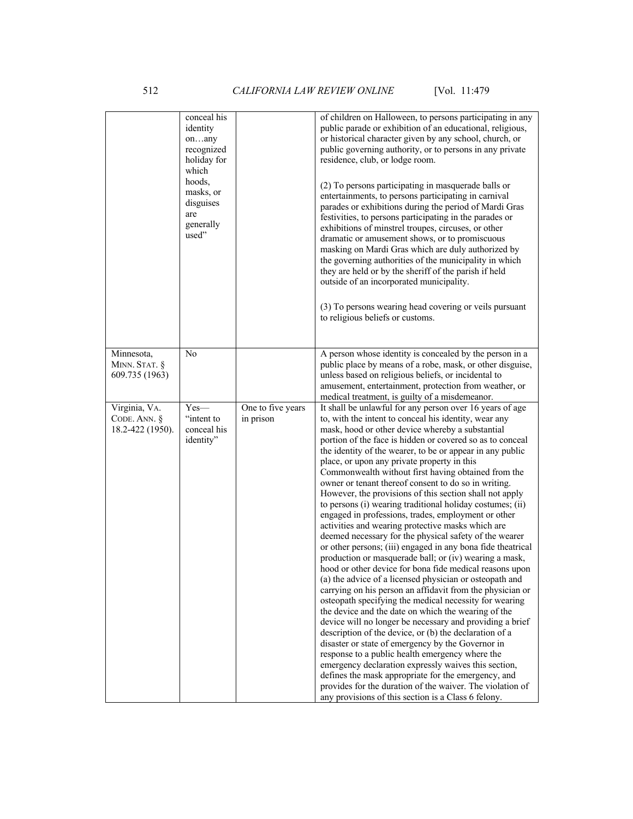|                                                      | conceal his<br>identity<br>onany<br>recognized<br>holiday for<br>which<br>hoods, |                                | of children on Halloween, to persons participating in any<br>public parade or exhibition of an educational, religious,<br>or historical character given by any school, church, or<br>public governing authority, or to persons in any private<br>residence, club, or lodge room.                                                                                                                                                                                                                                                                                                                                                                                                                                                                                                                                                                                                                                                                                                                                                                                                                                                                                                                                                                                                                                                                                                                                                                                                                                                                                                                                                                          |
|------------------------------------------------------|----------------------------------------------------------------------------------|--------------------------------|-----------------------------------------------------------------------------------------------------------------------------------------------------------------------------------------------------------------------------------------------------------------------------------------------------------------------------------------------------------------------------------------------------------------------------------------------------------------------------------------------------------------------------------------------------------------------------------------------------------------------------------------------------------------------------------------------------------------------------------------------------------------------------------------------------------------------------------------------------------------------------------------------------------------------------------------------------------------------------------------------------------------------------------------------------------------------------------------------------------------------------------------------------------------------------------------------------------------------------------------------------------------------------------------------------------------------------------------------------------------------------------------------------------------------------------------------------------------------------------------------------------------------------------------------------------------------------------------------------------------------------------------------------------|
|                                                      | masks, or<br>disguises<br>are<br>generally<br>used"                              |                                | (2) To persons participating in masquerade balls or<br>entertainments, to persons participating in carnival<br>parades or exhibitions during the period of Mardi Gras<br>festivities, to persons participating in the parades or<br>exhibitions of minstrel troupes, circuses, or other<br>dramatic or amusement shows, or to promiscuous<br>masking on Mardi Gras which are duly authorized by<br>the governing authorities of the municipality in which<br>they are held or by the sheriff of the parish if held<br>outside of an incorporated municipality.<br>(3) To persons wearing head covering or veils pursuant                                                                                                                                                                                                                                                                                                                                                                                                                                                                                                                                                                                                                                                                                                                                                                                                                                                                                                                                                                                                                                  |
|                                                      |                                                                                  |                                | to religious beliefs or customs.                                                                                                                                                                                                                                                                                                                                                                                                                                                                                                                                                                                                                                                                                                                                                                                                                                                                                                                                                                                                                                                                                                                                                                                                                                                                                                                                                                                                                                                                                                                                                                                                                          |
| Minnesota,<br>MINN. STAT. §<br>609.735 (1963)        | No                                                                               |                                | A person whose identity is concealed by the person in a<br>public place by means of a robe, mask, or other disguise,<br>unless based on religious beliefs, or incidental to<br>amusement, entertainment, protection from weather, or<br>medical treatment, is guilty of a misdemeanor.                                                                                                                                                                                                                                                                                                                                                                                                                                                                                                                                                                                                                                                                                                                                                                                                                                                                                                                                                                                                                                                                                                                                                                                                                                                                                                                                                                    |
| Virginia, VA.<br>CODE. ANN. $\S$<br>18.2-422 (1950). | $Yes-$<br>"intent to<br>conceal his<br>identity"                                 | One to five years<br>in prison | It shall be unlawful for any person over 16 years of age<br>to, with the intent to conceal his identity, wear any<br>mask, hood or other device whereby a substantial<br>portion of the face is hidden or covered so as to conceal<br>the identity of the wearer, to be or appear in any public<br>place, or upon any private property in this<br>Commonwealth without first having obtained from the<br>owner or tenant thereof consent to do so in writing.<br>However, the provisions of this section shall not apply<br>to persons (i) wearing traditional holiday costumes; (ii)<br>engaged in professions, trades, employment or other<br>activities and wearing protective masks which are<br>deemed necessary for the physical safety of the wearer<br>or other persons; (iii) engaged in any bona fide theatrical<br>production or masquerade ball; or (iv) wearing a mask,<br>hood or other device for bona fide medical reasons upon<br>(a) the advice of a licensed physician or osteopath and<br>carrying on his person an affidavit from the physician or<br>osteopath specifying the medical necessity for wearing<br>the device and the date on which the wearing of the<br>device will no longer be necessary and providing a brief<br>description of the device, or (b) the declaration of a<br>disaster or state of emergency by the Governor in<br>response to a public health emergency where the<br>emergency declaration expressly waives this section,<br>defines the mask appropriate for the emergency, and<br>provides for the duration of the waiver. The violation of<br>any provisions of this section is a Class 6 felony. |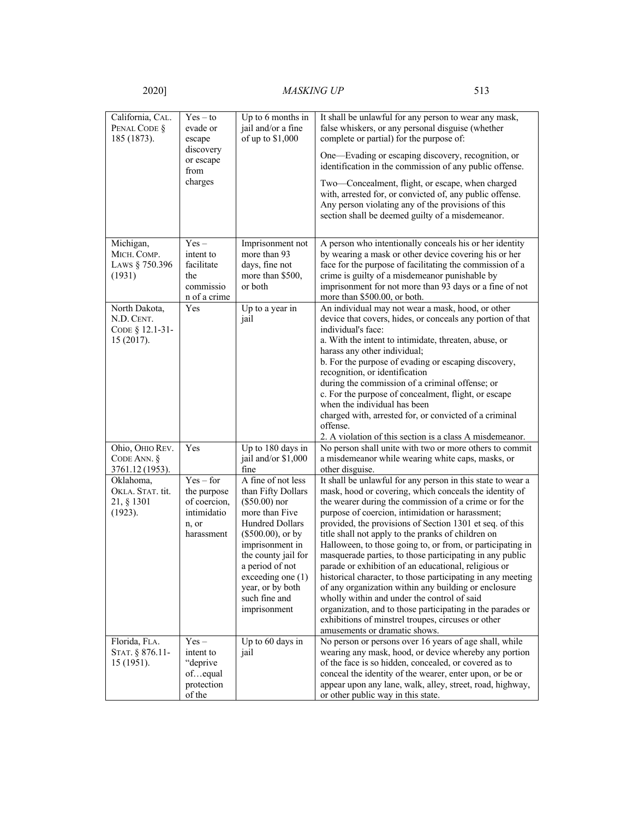Florida, FLA. STAT. § 876.11- 15 (1951).

Yes – intent to "deprive of…equal protection of the

Up to 60 days in

jail

# 2020] *MASKING UP* 513

| California, CAL.<br>PENAL CODE §<br>185 (1873).              | $Yes - to$<br>evade or<br>escape<br>discovery<br>or escape<br>from<br>charges    | Up to 6 months in<br>jail and/or a fine<br>of up to \$1,000                                                                                                                                                                                                    | It shall be unlawful for any person to wear any mask,<br>false whiskers, or any personal disguise (whether<br>complete or partial) for the purpose of:<br>One—Evading or escaping discovery, recognition, or<br>identification in the commission of any public offense.<br>Two—Concealment, flight, or escape, when charged<br>with, arrested for, or convicted of, any public offense.<br>Any person violating any of the provisions of this<br>section shall be deemed guilty of a misdemeanor.                                                                                                                                                                                                                                                                                                                                                                  |
|--------------------------------------------------------------|----------------------------------------------------------------------------------|----------------------------------------------------------------------------------------------------------------------------------------------------------------------------------------------------------------------------------------------------------------|--------------------------------------------------------------------------------------------------------------------------------------------------------------------------------------------------------------------------------------------------------------------------------------------------------------------------------------------------------------------------------------------------------------------------------------------------------------------------------------------------------------------------------------------------------------------------------------------------------------------------------------------------------------------------------------------------------------------------------------------------------------------------------------------------------------------------------------------------------------------|
| Michigan,<br>MICH. COMP.<br>LAWS § 750.396<br>(1931)         | $Yes -$<br>intent to<br>facilitate<br>the<br>commissio<br>n of a crime           | Imprisonment not<br>more than 93<br>days, fine not<br>more than \$500,<br>or both                                                                                                                                                                              | A person who intentionally conceals his or her identity<br>by wearing a mask or other device covering his or her<br>face for the purpose of facilitating the commission of a<br>crime is guilty of a misdemeanor punishable by<br>imprisonment for not more than 93 days or a fine of not<br>more than \$500.00, or both.                                                                                                                                                                                                                                                                                                                                                                                                                                                                                                                                          |
| North Dakota,<br>N.D. CENT.<br>CODE § 12.1-31-<br>15 (2017). | Yes                                                                              | Up to a year in<br>jail                                                                                                                                                                                                                                        | An individual may not wear a mask, hood, or other<br>device that covers, hides, or conceals any portion of that<br>individual's face:<br>a. With the intent to intimidate, threaten, abuse, or<br>harass any other individual;<br>b. For the purpose of evading or escaping discovery,<br>recognition, or identification<br>during the commission of a criminal offense; or<br>c. For the purpose of concealment, flight, or escape<br>when the individual has been<br>charged with, arrested for, or convicted of a criminal<br>offense.<br>2. A violation of this section is a class A misdemeanor.                                                                                                                                                                                                                                                              |
| Ohio, OHIO REV.<br>CODE ANN. $\S$<br>3761.12 (1953).         | Yes                                                                              | Up to 180 days in<br>jail and/or \$1,000<br>fine                                                                                                                                                                                                               | No person shall unite with two or more others to commit<br>a misdemeanor while wearing white caps, masks, or<br>other disguise.                                                                                                                                                                                                                                                                                                                                                                                                                                                                                                                                                                                                                                                                                                                                    |
| Oklahoma,<br>OKLA. STAT. tit.<br>21, § 1301<br>(1923).       | $Yes - for$<br>the purpose<br>of coercion,<br>intimidatio<br>n, or<br>harassment | A fine of not less<br>than Fifty Dollars<br>$($50.00)$ nor<br>more than Five<br>Hundred Dollars<br>$(\$500.00)$ , or by<br>imprisonment in<br>the county jail for<br>a period of not<br>exceeding one (1)<br>year, or by both<br>such fine and<br>imprisonment | It shall be unlawful for any person in this state to wear a<br>mask, hood or covering, which conceals the identity of<br>the wearer during the commission of a crime or for the<br>purpose of coercion, intimidation or harassment;<br>provided, the provisions of Section 1301 et seq. of this<br>title shall not apply to the pranks of children on<br>Halloween, to those going to, or from, or participating in<br>masquerade parties, to those participating in any public<br>parade or exhibition of an educational, religious or<br>historical character, to those participating in any meeting<br>of any organization within any building or enclosure<br>wholly within and under the control of said<br>organization, and to those participating in the parades or<br>exhibitions of minstrel troupes, circuses or other<br>amusements or dramatic shows. |

No person or persons over 16 years of age shall, while wearing any mask, hood, or device whereby any portion of the face is so hidden, concealed, or covered as to conceal the identity of the wearer, enter upon, or be or appear upon any lane, walk, alley, street, road, highway,

or other public way in this state.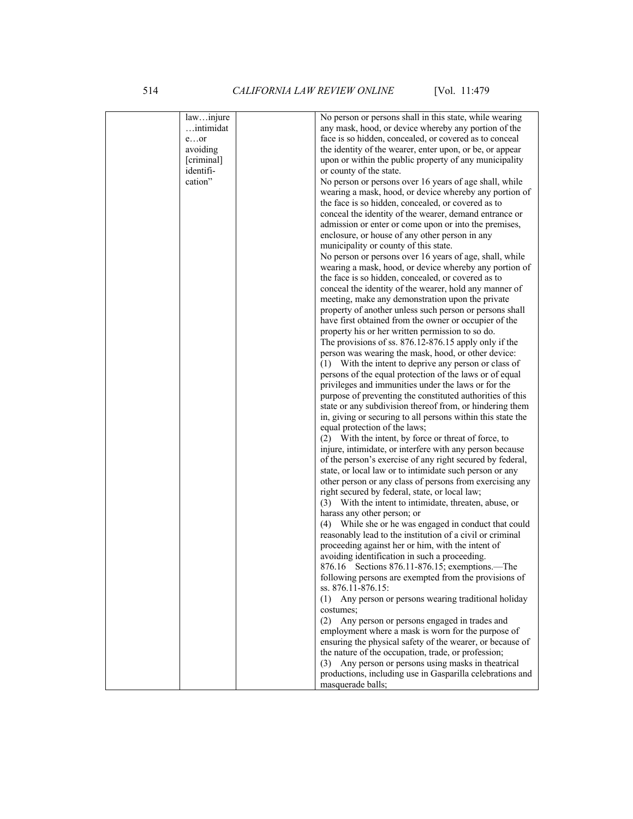514 *CALIFORNIA LAW REVIEW ONLINE* [Vol. 11:479

| lawinjure  | No person or persons shall in this state, while wearing     |
|------------|-------------------------------------------------------------|
| intimidat  | any mask, hood, or device whereby any portion of the        |
| $e$ or     | face is so hidden, concealed, or covered as to conceal      |
|            |                                                             |
| avoiding   | the identity of the wearer, enter upon, or be, or appear    |
| [criminal] | upon or within the public property of any municipality      |
| identifi-  | or county of the state.                                     |
| cation"    | No person or persons over 16 years of age shall, while      |
|            | wearing a mask, hood, or device whereby any portion of      |
|            | the face is so hidden, concealed, or covered as to          |
|            | conceal the identity of the wearer, demand entrance or      |
|            |                                                             |
|            | admission or enter or come upon or into the premises,       |
|            | enclosure, or house of any other person in any              |
|            | municipality or county of this state.                       |
|            | No person or persons over 16 years of age, shall, while     |
|            | wearing a mask, hood, or device whereby any portion of      |
|            | the face is so hidden, concealed, or covered as to          |
|            | conceal the identity of the wearer, hold any manner of      |
|            | meeting, make any demonstration upon the private            |
|            | property of another unless such person or persons shall     |
|            |                                                             |
|            | have first obtained from the owner or occupier of the       |
|            | property his or her written permission to so do.            |
|            | The provisions of ss. 876.12-876.15 apply only if the       |
|            | person was wearing the mask, hood, or other device:         |
|            | (1) With the intent to deprive any person or class of       |
|            | persons of the equal protection of the laws or of equal     |
|            | privileges and immunities under the laws or for the         |
|            | purpose of preventing the constituted authorities of this   |
|            | state or any subdivision thereof from, or hindering them    |
|            |                                                             |
|            | in, giving or securing to all persons within this state the |
|            | equal protection of the laws;                               |
|            | (2) With the intent, by force or threat of force, to        |
|            | injure, intimidate, or interfere with any person because    |
|            | of the person's exercise of any right secured by federal,   |
|            | state, or local law or to intimidate such person or any     |
|            | other person or any class of persons from exercising any    |
|            | right secured by federal, state, or local law;              |
|            | (3) With the intent to intimidate, threaten, abuse, or      |
|            | harass any other person; or                                 |
|            |                                                             |
|            | (4) While she or he was engaged in conduct that could       |
|            | reasonably lead to the institution of a civil or criminal   |
|            | proceeding against her or him, with the intent of           |
|            | avoiding identification in such a proceeding.               |
|            | 876.16 Sections 876.11-876.15; exemptions.—The              |
|            | following persons are exempted from the provisions of       |
|            | ss. 876.11-876.15:                                          |
|            | Any person or persons wearing traditional holiday<br>(1)    |
|            | costumes;                                                   |
|            | (2) Any person or persons engaged in trades and             |
|            |                                                             |
|            | employment where a mask is worn for the purpose of          |
|            | ensuring the physical safety of the wearer, or because of   |
|            | the nature of the occupation, trade, or profession;         |
|            | Any person or persons using masks in theatrical<br>(3)      |
|            | productions, including use in Gasparilla celebrations and   |
|            | masquerade balls;                                           |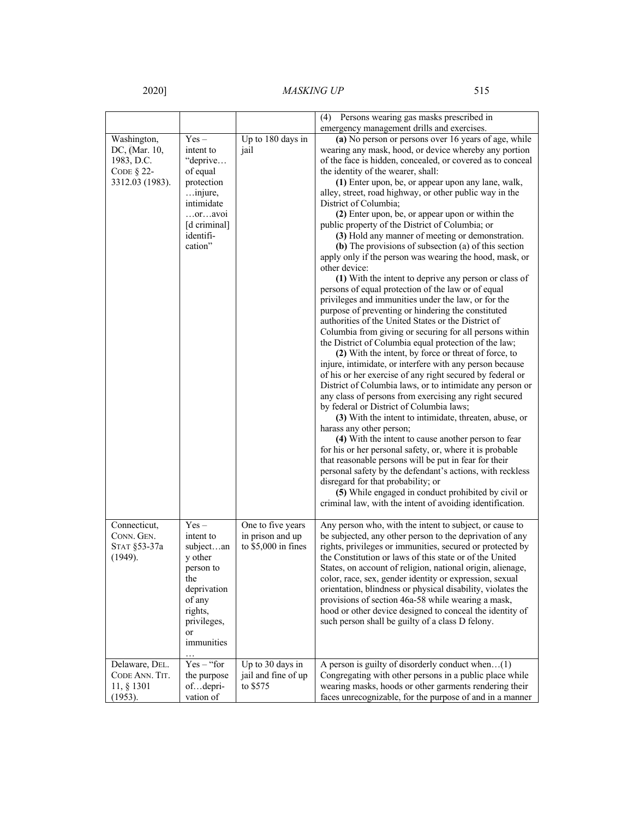|                 |                           |                      | (4) Persons wearing gas masks prescribed in                                                                     |
|-----------------|---------------------------|----------------------|-----------------------------------------------------------------------------------------------------------------|
|                 |                           |                      | emergency management drills and exercises.                                                                      |
| Washington,     | $Yes-$                    | Up to 180 days in    | (a) No person or persons over 16 years of age, while                                                            |
| DC, (Mar. 10,   | intent to                 | jail                 | wearing any mask, hood, or device whereby any portion                                                           |
| 1983, D.C.      | "deprive                  |                      | of the face is hidden, concealed, or covered as to conceal                                                      |
| CODE $\S$ 22-   | of equal                  |                      | the identity of the wearer, shall:                                                                              |
| 3312.03 (1983). | protection                |                      | (1) Enter upon, be, or appear upon any lane, walk,                                                              |
|                 | injure,                   |                      | alley, street, road highway, or other public way in the                                                         |
|                 | intimidate                |                      | District of Columbia;                                                                                           |
|                 | $$ or $$ avoi             |                      | (2) Enter upon, be, or appear upon or within the                                                                |
|                 | [d criminal]<br>identifi- |                      | public property of the District of Columbia; or<br>(3) Hold any manner of meeting or demonstration.             |
|                 | cation"                   |                      | (b) The provisions of subsection (a) of this section                                                            |
|                 |                           |                      | apply only if the person was wearing the hood, mask, or                                                         |
|                 |                           |                      | other device:                                                                                                   |
|                 |                           |                      | (1) With the intent to deprive any person or class of                                                           |
|                 |                           |                      | persons of equal protection of the law or of equal                                                              |
|                 |                           |                      | privileges and immunities under the law, or for the                                                             |
|                 |                           |                      | purpose of preventing or hindering the constituted                                                              |
|                 |                           |                      | authorities of the United States or the District of                                                             |
|                 |                           |                      | Columbia from giving or securing for all persons within                                                         |
|                 |                           |                      | the District of Columbia equal protection of the law;                                                           |
|                 |                           |                      | (2) With the intent, by force or threat of force, to                                                            |
|                 |                           |                      | injure, intimidate, or interfere with any person because                                                        |
|                 |                           |                      | of his or her exercise of any right secured by federal or                                                       |
|                 |                           |                      | District of Columbia laws, or to intimidate any person or                                                       |
|                 |                           |                      | any class of persons from exercising any right secured                                                          |
|                 |                           |                      | by federal or District of Columbia laws;                                                                        |
|                 |                           |                      | (3) With the intent to intimidate, threaten, abuse, or                                                          |
|                 |                           |                      | harass any other person;                                                                                        |
|                 |                           |                      | (4) With the intent to cause another person to fear<br>for his or her personal safety, or, where it is probable |
|                 |                           |                      | that reasonable persons will be put in fear for their                                                           |
|                 |                           |                      | personal safety by the defendant's actions, with reckless                                                       |
|                 |                           |                      | disregard for that probability; or                                                                              |
|                 |                           |                      | (5) While engaged in conduct prohibited by civil or                                                             |
|                 |                           |                      | criminal law, with the intent of avoiding identification.                                                       |
|                 |                           |                      |                                                                                                                 |
| Connecticut,    | $Yes -$                   | One to five years    | Any person who, with the intent to subject, or cause to                                                         |
| CONN. GEN.      | intent to                 | in prison and up     | be subjected, any other person to the deprivation of any                                                        |
| STAT §53-37a    | subjectan                 | to $$5,000$ in fines | rights, privileges or immunities, secured or protected by                                                       |
| (1949).         | y other                   |                      | the Constitution or laws of this state or of the United                                                         |
|                 | person to                 |                      | States, on account of religion, national origin, alienage,                                                      |
|                 | the                       |                      | color, race, sex, gender identity or expression, sexual                                                         |
|                 | deprivation               |                      | orientation, blindness or physical disability, violates the                                                     |
|                 | of any                    |                      | provisions of section 46a-58 while wearing a mask,                                                              |
|                 | rights,                   |                      | hood or other device designed to conceal the identity of                                                        |
|                 | privileges,               |                      | such person shall be guilty of a class D felony.                                                                |
|                 | <b>or</b><br>immunities   |                      |                                                                                                                 |
|                 |                           |                      |                                                                                                                 |
| Delaware, DEL.  | $Yes - "for$              | Up to 30 days in     | A person is guilty of disorderly conduct when $(1)$                                                             |
| CODE ANN. TIT.  | the purpose               | jail and fine of up  | Congregating with other persons in a public place while                                                         |
| 11, § 1301      | ofdepri-                  | to \$575             | wearing masks, hoods or other garments rendering their                                                          |
| (1953).         | vation of                 |                      | faces unrecognizable, for the purpose of and in a manner                                                        |